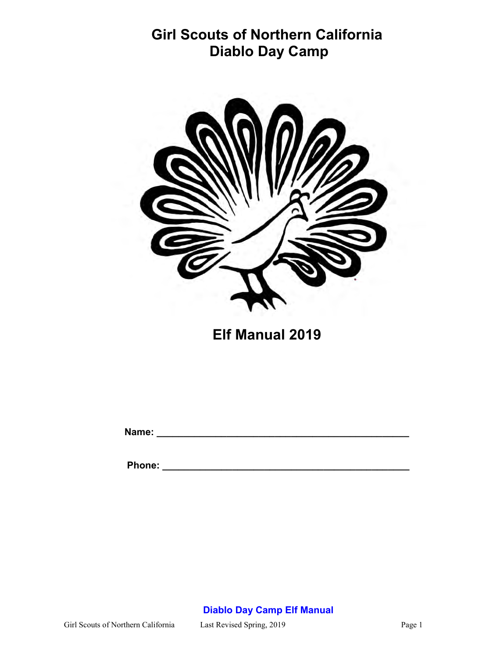**Girl Scouts of Northern California Diablo Day Camp**



**Elf Manual 2019**

**Name:**  $\blacksquare$ 

**Phone: \_\_\_\_\_\_\_\_\_\_\_\_\_\_\_\_\_\_\_\_\_\_\_\_\_\_\_\_\_\_\_\_\_\_\_\_\_\_\_\_\_\_\_\_\_\_**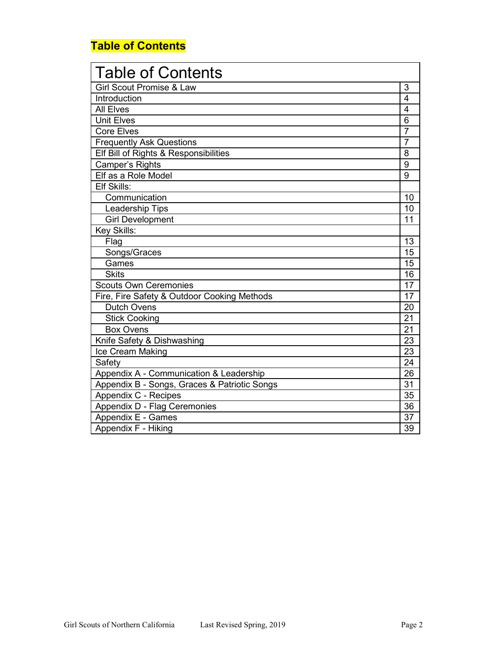## **Table of Contents**

| <b>Table of Contents</b>                     |                |
|----------------------------------------------|----------------|
| <b>Girl Scout Promise &amp; Law</b>          | 3              |
| Introduction                                 | 4              |
| <b>All Elves</b>                             | 4              |
| Unit Elves                                   | 6              |
| <b>Core Elves</b>                            | $\overline{7}$ |
| <b>Frequently Ask Questions</b>              | $\overline{7}$ |
| Elf Bill of Rights & Responsibilities        | 8              |
| Camper's Rights                              | 9              |
| Elf as a Role Model                          | 9              |
| Elf Skills:                                  |                |
| Communication                                | 10             |
| Leadership Tips                              | 10             |
| <b>Girl Development</b>                      | 11             |
| Key Skills:                                  |                |
| Flag                                         | 13             |
| Songs/Graces                                 | 15             |
| Games                                        | 15             |
| <b>Skits</b>                                 | 16             |
| <b>Scouts Own Ceremonies</b>                 | 17             |
| Fire, Fire Safety & Outdoor Cooking Methods  | 17             |
| <b>Dutch Ovens</b>                           | 20             |
| <b>Stick Cooking</b>                         | 21             |
| <b>Box Ovens</b>                             | 21             |
| Knife Safety & Dishwashing                   | 23             |
| Ice Cream Making                             | 23             |
| Safety                                       | 24             |
| Appendix A - Communication & Leadership      | 26             |
| Appendix B - Songs, Graces & Patriotic Songs | 31             |
| Appendix C - Recipes                         | 35             |
| Appendix D - Flag Ceremonies                 | 36             |
| Appendix E - Games                           | 37             |
| Appendix F - Hiking                          | 39             |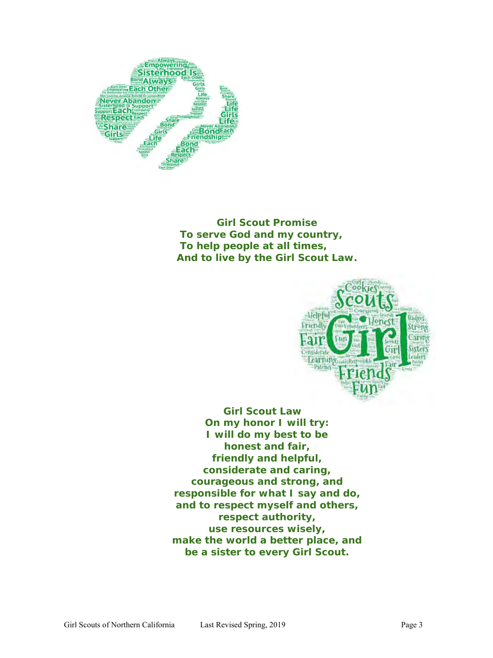

*Girl Scout Promise To serve God and my country, To help people at all times, And to live by the Girl Scout Law.*



*Girl Scout Law On my honor I will try: I will do my best to be honest and fair, friendly and helpful, considerate and caring, courageous and strong, and responsible for what I say and do, and to respect myself and others, respect authority, use resources wisely, make the world a better place, and be a sister to every Girl Scout.*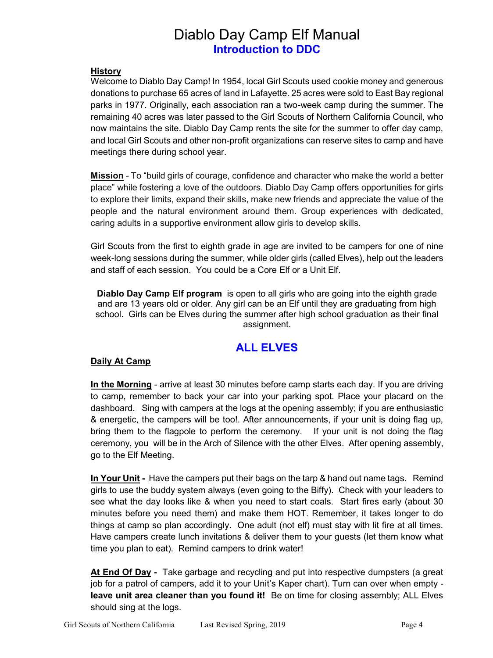## Diablo Day Camp Elf Manual **Introduction to DDC**

#### **History**

Welcome to Diablo Day Camp! In 1954, local Girl Scouts used cookie money and generous donations to purchase 65 acres of land in Lafayette. 25 acres were sold to East Bay regional parks in 1977. Originally, each association ran a two-week camp during the summer. The remaining 40 acres was later passed to the Girl Scouts of Northern California Council, who now maintains the site. Diablo Day Camp rents the site for the summer to offer day camp, and local Girl Scouts and other non-profit organizations can reserve sites to camp and have meetings there during school year.

**Mission** - To "build girls of courage, confidence and character who make the world a better place" while fostering a love of the outdoors. Diablo Day Camp offers opportunities for girls to explore their limits, expand their skills, make new friends and appreciate the value of the people and the natural environment around them. Group experiences with dedicated, caring adults in a supportive environment allow girls to develop skills.

Girl Scouts from the first to eighth grade in age are invited to be campers for one of nine week-long sessions during the summer, while older girls (called Elves), help out the leaders and staff of each session. You could be a Core Elf or a Unit Elf.

**Diablo Day Camp Elf program** is open to all girls who are going into the eighth grade and are 13 years old or older. Any girl can be an Elf until they are graduating from high school. Girls can be Elves during the summer after high school graduation as their final assignment.

## **ALL ELVES**

#### **Daily At Camp**

**In the Morning** - arrive at least 30 minutes before camp starts each day. If you are driving to camp, remember to back your car into your parking spot. Place your placard on the dashboard. Sing with campers at the logs at the opening assembly; if you are enthusiastic & energetic, the campers will be too!. After announcements, if your unit is doing flag up, bring them to the flagpole to perform the ceremony. If your unit is not doing the flag ceremony, you will be in the Arch of Silence with the other Elves. After opening assembly, go to the Elf Meeting.

**In Your Unit -** Have the campers put their bags on the tarp & hand out name tags. Remind girls to use the buddy system always (even going to the Biffy). Check with your leaders to see what the day looks like & when you need to start coals. Start fires early (about 30 minutes before you need them) and make them HOT. Remember, it takes longer to do things at camp so plan accordingly. One adult (not elf) must stay with lit fire at all times. Have campers create lunch invitations & deliver them to your guests (let them know what time you plan to eat). Remind campers to drink water!

**At End Of Day -** Take garbage and recycling and put into respective dumpsters (a great job for a patrol of campers, add it to your Unit's Kaper chart). Turn can over when empty **leave unit area cleaner than you found it!** Be on time for closing assembly; ALL Elves should sing at the logs.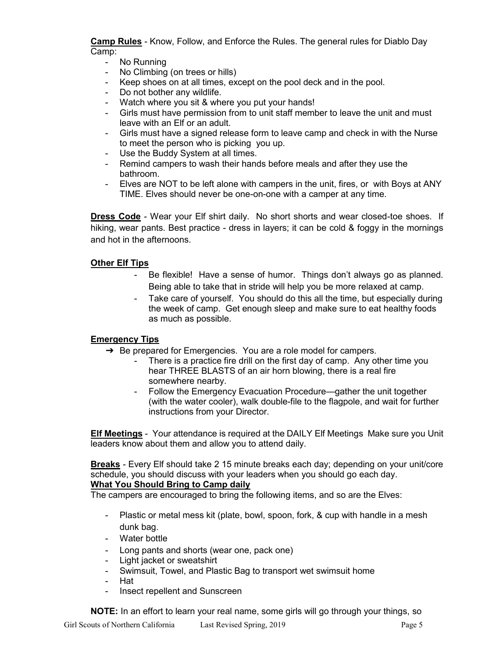**Camp Rules** - Know, Follow, and Enforce the Rules. The general rules for Diablo Day Camp:

- No Running
- No Climbing (on trees or hills)
- Keep shoes on at all times, except on the pool deck and in the pool.
- Do not bother any wildlife.
- Watch where you sit & where you put your hands!
- Girls must have permission from to unit staff member to leave the unit and must leave with an Elf or an adult.
- Girls must have a signed release form to leave camp and check in with the Nurse to meet the person who is picking you up.
- Use the Buddy System at all times.
- Remind campers to wash their hands before meals and after they use the bathroom.
- Elves are NOT to be left alone with campers in the unit, fires, or with Boys at ANY TIME. Elves should never be one-on-one with a camper at any time.

**Dress Code** - Wear your Elf shirt daily. No short shorts and wear closed-toe shoes. If hiking, wear pants. Best practice - dress in layers; it can be cold & foggy in the mornings and hot in the afternoons.

#### **Other Elf Tips**

- Be flexible! Have a sense of humor. Things don't always go as planned. Being able to take that in stride will help you be more relaxed at camp.
- Take care of yourself. You should do this all the time, but especially during the week of camp. Get enough sleep and make sure to eat healthy foods as much as possible.

#### **Emergency Tips**

- → Be prepared for Emergencies. You are a role model for campers.
	- There is a practice fire drill on the first day of camp. Any other time you hear THREE BLASTS of an air horn blowing, there is a real fire somewhere nearby.
	- Follow the Emergency Evacuation Procedure—gather the unit together (with the water cooler), walk double-file to the flagpole, and wait for further instructions from your Director.

**Elf Meetings** - Your attendance is required at the DAILY Elf Meetings Make sure you Unit leaders know about them and allow you to attend daily.

**Breaks** - Every Elf should take 2 15 minute breaks each day; depending on your unit/core schedule, you should discuss with your leaders when you should go each day.

#### **What You Should Bring to Camp daily**

The campers are encouraged to bring the following items, and so are the Elves:

- Plastic or metal mess kit (plate, bowl, spoon, fork, & cup with handle in a mesh dunk bag.
- Water bottle
- Long pants and shorts (wear one, pack one)
- Light jacket or sweatshirt
- Swimsuit, Towel, and Plastic Bag to transport wet swimsuit home
- Hat
- Insect repellent and Sunscreen

Girl Scouts of Northern California Last Revised Spring, 2019 Page 5 **NOTE:** In an effort to learn your real name, some girls will go through your things, so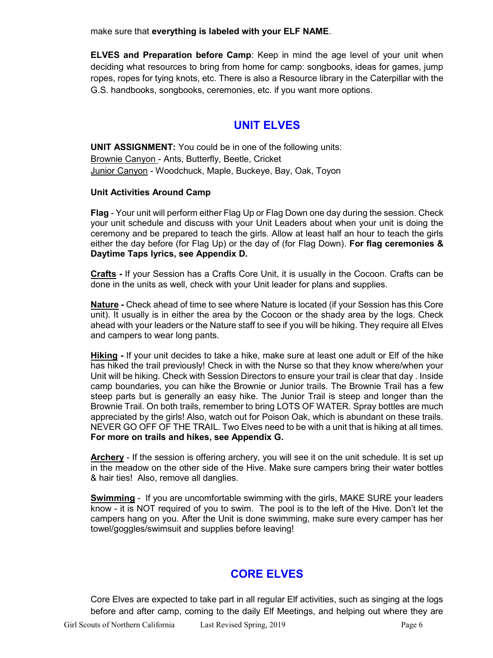make sure that **everything is labeled with your ELF NAME**.

**ELVES and Preparation before Camp**: Keep in mind the age level of your unit when deciding what resources to bring from home for camp: songbooks, ideas for games, jump ropes, ropes for tying knots, etc. There is also a Resource library in the Caterpillar with the G.S. handbooks, songbooks, ceremonies, etc. if you want more options.

## **UNIT ELVES**

**UNIT ASSIGNMENT:** You could be in one of the following units: Brownie Canyon - Ants, Butterfly, Beetle, Cricket Junior Canyon - Woodchuck, Maple, Buckeye, Bay, Oak, Toyon

#### **Unit Activities Around Camp**

**Flag** - Your unit will perform either Flag Up or Flag Down one day during the session. Check your unit schedule and discuss with your Unit Leaders about when your unit is doing the ceremony and be prepared to teach the girls. Allow at least half an hour to teach the girls either the day before (for Flag Up) or the day of (for Flag Down). **For flag ceremonies & Daytime Taps lyrics, see Appendix D.** 

**Crafts -** If your Session has a Crafts Core Unit, it is usually in the Cocoon. Crafts can be done in the units as well, check with your Unit leader for plans and supplies.

**Nature -** Check ahead of time to see where Nature is located (if your Session has this Core unit). It usually is in either the area by the Cocoon or the shady area by the logs. Check ahead with your leaders or the Nature staff to see if you will be hiking. They require all Elves and campers to wear long pants.

**Hiking -** If your unit decides to take a hike, make sure at least one adult or Elf of the hike has hiked the trail previously! Check in with the Nurse so that they know where/when your Unit will be hiking. Check with Session Directors to ensure your trail is clear that day . Inside camp boundaries, you can hike the Brownie or Junior trails. The Brownie Trail has a few steep parts but is generally an easy hike. The Junior Trail is steep and longer than the Brownie Trail. On both trails, remember to bring LOTS OF WATER. Spray bottles are much appreciated by the girls! Also, watch out for Poison Oak, which is abundant on these trails. NEVER GO OFF OF THE TRAIL. Two Elves need to be with a unit that is hiking at all times. **For more on trails and hikes, see Appendix G.** 

**Archery** - If the session is offering archery, you will see it on the unit schedule. It is set up in the meadow on the other side of the Hive. Make sure campers bring their water bottles & hair ties! Also, remove all danglies.

**Swimming** - If you are uncomfortable swimming with the girls, MAKE SURE your leaders know - it is NOT required of you to swim. The pool is to the left of the Hive. Don't let the campers hang on you. After the Unit is done swimming, make sure every camper has her towel/goggles/swimsuit and supplies before leaving!

## **CORE ELVES**

Core Elves are expected to take part in all regular Elf activities, such as singing at the logs before and after camp, coming to the daily Elf Meetings, and helping out where they are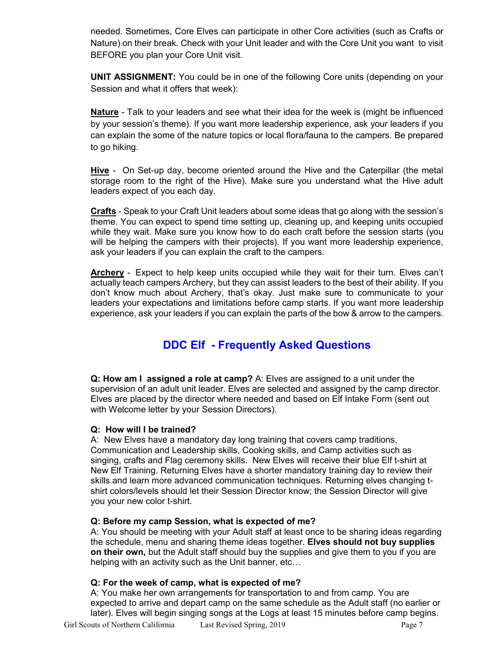needed. Sometimes, Core Elves can participate in other Core activities (such as Crafts or Nature) on their break. Check with your Unit leader and with the Core Unit you want to visit BEFORE you plan your Core Unit visit.

**UNIT ASSIGNMENT:** You could be in one of the following Core units (depending on your Session and what it offers that week):

**Nature** - Talk to your leaders and see what their idea for the week is (might be influenced by your session's theme). If you want more leadership experience, ask your leaders if you can explain the some of the nature topics or local flora/fauna to the campers. Be prepared to go hiking.

**Hive** - On Set-up day, become oriented around the Hive and the Caterpillar (the metal storage room to the right of the Hive). Make sure you understand what the Hive adult leaders expect of you each day.

**Crafts** - Speak to your Craft Unit leaders about some ideas that go along with the session's theme. You can expect to spend time setting up, cleaning up, and keeping units occupied while they wait. Make sure you know how to do each craft before the session starts (you will be helping the campers with their projects). If you want more leadership experience, ask your leaders if you can explain the craft to the campers.

**Archery** - Expect to help keep units occupied while they wait for their turn. Elves can't actually teach campers Archery, but they can assist leaders to the best of their ability. If you don't know much about Archery, that's okay. Just make sure to communicate to your leaders your expectations and limitations before camp starts. If you want more leadership experience, ask your leaders if you can explain the parts of the bow & arrow to the campers.

## **DDC Elf - Frequently Asked Questions**

**Q: How am I assigned a role at camp?** A: Elves are assigned to a unit under the supervision of an adult unit leader. Elves are selected and assigned by the camp director. Elves are placed by the director where needed and based on Elf Intake Form (sent out with Welcome letter by your Session Directors).

#### **Q: How will I be trained?**

A: New Elves have a mandatory day long training that covers camp traditions, Communication and Leadership skills, Cooking skills, and Camp activities such as singing, crafts and Flag ceremony skills. New Elves will receive their blue Elf t-shirt at New Elf Training. Returning Elves have a shorter mandatory training day to review their skills and learn more advanced communication techniques. Returning elves changing tshirt colors/levels should let their Session Director know; the Session Director will give you your new color t-shirt.

#### **Q: Before my camp Session, what is expected of me?**

A: You should be meeting with your Adult staff at least once to be sharing ideas regarding the schedule, menu and sharing theme ideas together. **Elves should not buy supplies on their own,** but the Adult staff should buy the supplies and give them to you if you are helping with an activity such as the Unit banner, etc…

#### **Q: For the week of camp, what is expected of me?**

A: You make her own arrangements for transportation to and from camp. You are expected to arrive and depart camp on the same schedule as the Adult staff (no earlier or later). Elves will begin singing songs at the Logs at least 15 minutes before camp begins.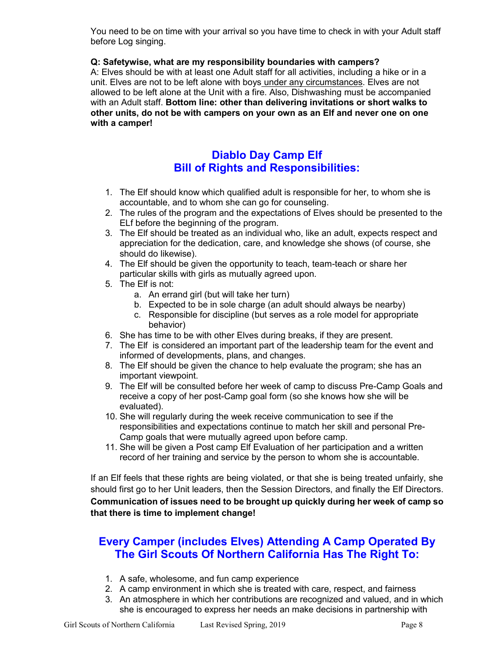You need to be on time with your arrival so you have time to check in with your Adult staff before Log singing.

#### **Q: Safetywise, what are my responsibility boundaries with campers?**

A: Elves should be with at least one Adult staff for all activities, including a hike or in a unit. Elves are not to be left alone with boys under any circumstances. Elves are not allowed to be left alone at the Unit with a fire. Also, Dishwashing must be accompanied with an Adult staff. **Bottom line: other than delivering invitations or short walks to other units, do not be with campers on your own as an Elf and never one on one with a camper!** 

## **Diablo Day Camp Elf Bill of Rights and Responsibilities:**

- 1. The Elf should know which qualified adult is responsible for her, to whom she is accountable, and to whom she can go for counseling.
- 2. The rules of the program and the expectations of Elves should be presented to the ELf before the beginning of the program.
- 3. The Elf should be treated as an individual who, like an adult, expects respect and appreciation for the dedication, care, and knowledge she shows (of course, she should do likewise).
- 4. The Elf should be given the opportunity to teach, team-teach or share her particular skills with girls as mutually agreed upon.
- 5. The Elf is not:
	- a. An errand girl (but will take her turn)
	- b. Expected to be in sole charge (an adult should always be nearby)
	- c. Responsible for discipline (but serves as a role model for appropriate behavior)
- 6. She has time to be with other Elves during breaks, if they are present.
- 7. The Elf is considered an important part of the leadership team for the event and informed of developments, plans, and changes.
- 8. The Elf should be given the chance to help evaluate the program; she has an important viewpoint.
- 9. The Elf will be consulted before her week of camp to discuss Pre-Camp Goals and receive a copy of her post-Camp goal form (so she knows how she will be evaluated).
- 10. She will regularly during the week receive communication to see if the responsibilities and expectations continue to match her skill and personal Pre-Camp goals that were mutually agreed upon before camp.
- 11. She will be given a Post camp Elf Evaluation of her participation and a written record of her training and service by the person to whom she is accountable.

If an Elf feels that these rights are being violated, or that she is being treated unfairly, she should first go to her Unit leaders, then the Session Directors, and finally the Elf Directors. **Communication of issues need to be brought up quickly during her week of camp so that there is time to implement change!** 

## **Every Camper (includes Elves) Attending A Camp Operated By The Girl Scouts Of Northern California Has The Right To:**

- 1. A safe, wholesome, and fun camp experience
- 2. A camp environment in which she is treated with care, respect, and fairness
- 3. An atmosphere in which her contributions are recognized and valued, and in which she is encouraged to express her needs an make decisions in partnership with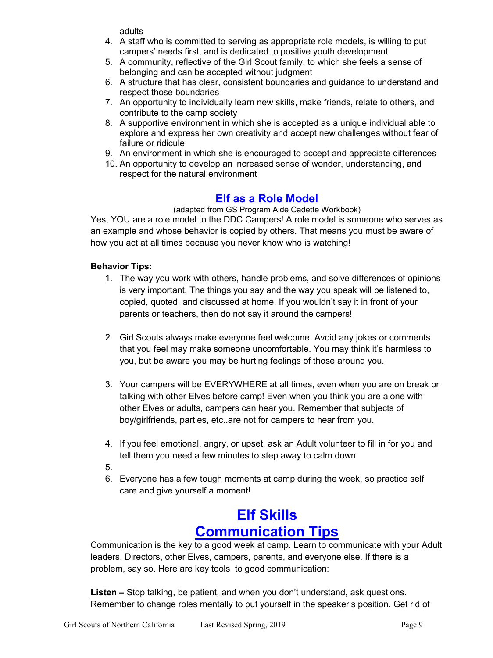adults

- 4. A staff who is committed to serving as appropriate role models, is willing to put campers' needs first, and is dedicated to positive youth development
- 5. A community, reflective of the Girl Scout family, to which she feels a sense of belonging and can be accepted without judgment
- 6. A structure that has clear, consistent boundaries and guidance to understand and respect those boundaries
- 7. An opportunity to individually learn new skills, make friends, relate to others, and contribute to the camp society
- 8. A supportive environment in which she is accepted as a unique individual able to explore and express her own creativity and accept new challenges without fear of failure or ridicule
- 9. An environment in which she is encouraged to accept and appreciate differences
- 10. An opportunity to develop an increased sense of wonder, understanding, and respect for the natural environment

## **Elf as a Role Model**

(adapted from GS Program Aide Cadette Workbook)

Yes, YOU are a role model to the DDC Campers! A role model is someone who serves as an example and whose behavior is copied by others. That means you must be aware of how you act at all times because you never know who is watching!

#### **Behavior Tips:**

- 1. The way you work with others, handle problems, and solve differences of opinions is very important. The things you say and the way you speak will be listened to, copied, quoted, and discussed at home. If you wouldn't say it in front of your parents or teachers, then do not say it around the campers!
- 2. Girl Scouts always make everyone feel welcome. Avoid any jokes or comments that you feel may make someone uncomfortable. You may think it's harmless to you, but be aware you may be hurting feelings of those around you.
- 3. Your campers will be EVERYWHERE at all times, even when you are on break or talking with other Elves before camp! Even when you think you are alone with other Elves or adults, campers can hear you. Remember that subjects of boy/girlfriends, parties, etc..are not for campers to hear from you.
- 4. If you feel emotional, angry, or upset, ask an Adult volunteer to fill in for you and tell them you need a few minutes to step away to calm down.
- 5.
- 6. Everyone has a few tough moments at camp during the week, so practice self care and give yourself a moment!

## **Elf Skills Communication Tips**

Communication is the key to a good week at camp. Learn to communicate with your Adult leaders, Directors, other Elves, campers, parents, and everyone else. If there is a problem, say so. Here are key tools to good communication:

**Listen –** Stop talking, be patient, and when you don't understand, ask questions. Remember to change roles mentally to put yourself in the speaker's position. Get rid of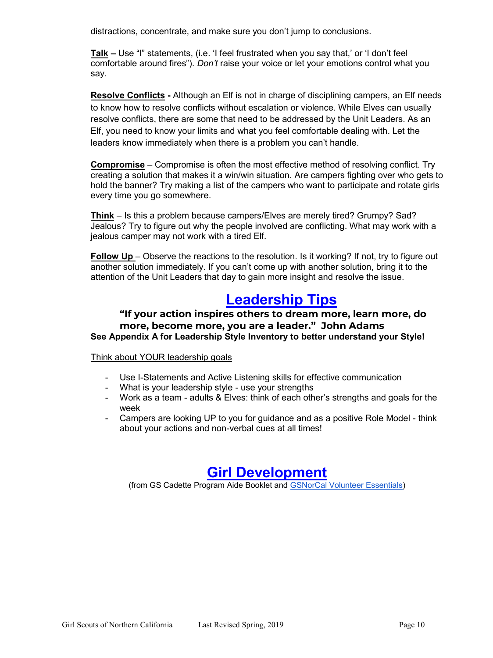distractions, concentrate, and make sure you don't jump to conclusions.

**Talk –** Use "I" statements, (i.e. 'I feel frustrated when you say that,' or 'I don't feel comfortable around fires"). *Don't* raise your voice or let your emotions control what you say.

**Resolve Conflicts -** Although an Elf is not in charge of disciplining campers, an Elf needs to know how to resolve conflicts without escalation or violence. While Elves can usually resolve conflicts, there are some that need to be addressed by the Unit Leaders. As an Elf, you need to know your limits and what you feel comfortable dealing with. Let the leaders know immediately when there is a problem you can't handle.

**Compromise** – Compromise is often the most effective method of resolving conflict. Try creating a solution that makes it a win/win situation. Are campers fighting over who gets to hold the banner? Try making a list of the campers who want to participate and rotate girls every time you go somewhere.

**Think** – Is this a problem because campers/Elves are merely tired? Grumpy? Sad? Jealous? Try to figure out why the people involved are conflicting. What may work with a jealous camper may not work with a tired Elf.

**Follow Up** – Observe the reactions to the resolution. Is it working? If not, try to figure out another solution immediately. If you can't come up with another solution, bring it to the attention of the Unit Leaders that day to gain more insight and resolve the issue.

## **Leadership Tips**

#### **"If your action inspires others to dream more, learn more, do more, become more, you are a leader." John Adams See Appendix A for Leadership Style Inventory to better understand your Style!**

Think about YOUR leadership goals

- Use I-Statements and Active Listening skills for effective communication
- What is your leadership style use your strengths
- Work as a team adults & Elves: think of each other's strengths and goals for the week
- Campers are looking UP to you for guidance and as a positive Role Model think about your actions and non-verbal cues at all times!

## **Girl Development**

(from GS Cadette Program Aide Booklet and [GSNorCal Volunteer Essentials\)](http://ve.gsnorcal.org/mod/book/view.php?id=2&chapterid=120)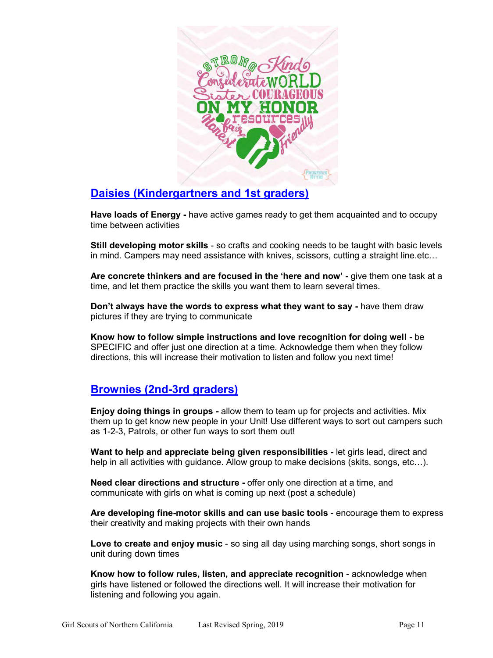

## **Daisies (Kindergartners and 1st graders)**

**Have loads of Energy -** have active games ready to get them acquainted and to occupy time between activities

**Still developing motor skills** - so crafts and cooking needs to be taught with basic levels in mind. Campers may need assistance with knives, scissors, cutting a straight line.etc…

**Are concrete thinkers and are focused in the 'here and now' -** give them one task at a time, and let them practice the skills you want them to learn several times.

**Don't always have the words to express what they want to say -** have them draw pictures if they are trying to communicate

**Know how to follow simple instructions and love recognition for doing well -** be SPECIFIC and offer just one direction at a time. Acknowledge them when they follow directions, this will increase their motivation to listen and follow you next time!

## **Brownies (2nd-3rd graders)**

**Enjoy doing things in groups -** allow them to team up for projects and activities. Mix them up to get know new people in your Unit! Use different ways to sort out campers such as 1-2-3, Patrols, or other fun ways to sort them out!

**Want to help and appreciate being given responsibilities -** let girls lead, direct and help in all activities with guidance. Allow group to make decisions (skits, songs, etc…).

**Need clear directions and structure -** offer only one direction at a time, and communicate with girls on what is coming up next (post a schedule)

**Are developing fine-motor skills and can use basic tools** - encourage them to express their creativity and making projects with their own hands

**Love to create and enjoy music** - so sing all day using marching songs, short songs in unit during down times

**Know how to follow rules, listen, and appreciate recognition** - acknowledge when girls have listened or followed the directions well. It will increase their motivation for listening and following you again.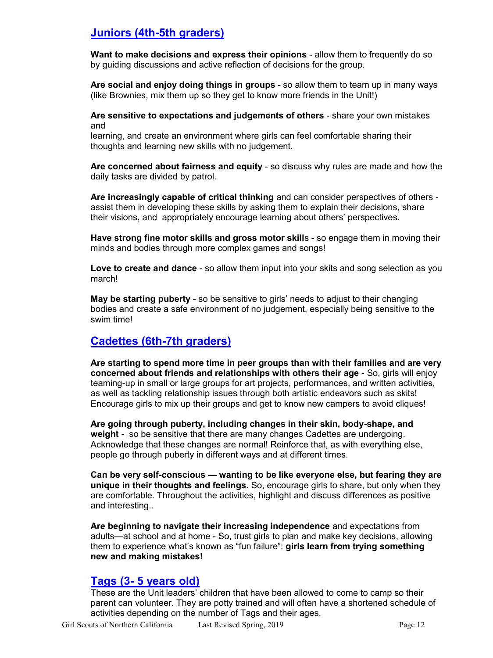## **Juniors (4th-5th graders)**

**Want to make decisions and express their opinions** - allow them to frequently do so by guiding discussions and active reflection of decisions for the group.

**Are social and enjoy doing things in groups** - so allow them to team up in many ways (like Brownies, mix them up so they get to know more friends in the Unit!)

**Are sensitive to expectations and judgements of others** - share your own mistakes and

learning, and create an environment where girls can feel comfortable sharing their thoughts and learning new skills with no judgement.

**Are concerned about fairness and equity** - so discuss why rules are made and how the daily tasks are divided by patrol.

**Are increasingly capable of critical thinking** and can consider perspectives of others assist them in developing these skills by asking them to explain their decisions, share their visions, and appropriately encourage learning about others' perspectives.

**Have strong fine motor skills and gross motor skill**s - so engage them in moving their minds and bodies through more complex games and songs!

**Love to create and dance** - so allow them input into your skits and song selection as you march!

**May be starting puberty** - so be sensitive to girls' needs to adjust to their changing bodies and create a safe environment of no judgement, especially being sensitive to the swim time!

## **Cadettes (6th-7th graders)**

**Are starting to spend more time in peer groups than with their families and are very concerned about friends and relationships with others their age** - So, girls will enjoy teaming-up in small or large groups for art projects, performances, and written activities, as well as tackling relationship issues through both artistic endeavors such as skits! Encourage girls to mix up their groups and get to know new campers to avoid cliques!

**Are going through puberty, including changes in their skin, body-shape, and weight -** so be sensitive that there are many changes Cadettes are undergoing. Acknowledge that these changes are normal! Reinforce that, as with everything else, people go through puberty in different ways and at different times.

**Can be very self-conscious — wanting to be like everyone else, but fearing they are unique in their thoughts and feelings.** So, encourage girls to share, but only when they are comfortable. Throughout the activities, highlight and discuss differences as positive and interesting..

**Are beginning to navigate their increasing independence** and expectations from adults—at school and at home - So, trust girls to plan and make key decisions, allowing them to experience what's known as "fun failure": **girls learn from trying something new and making mistakes!** 

## **Tags (3- 5 years old)**

These are the Unit leaders' children that have been allowed to come to camp so their parent can volunteer. They are potty trained and will often have a shortened schedule of activities depending on the number of Tags and their ages.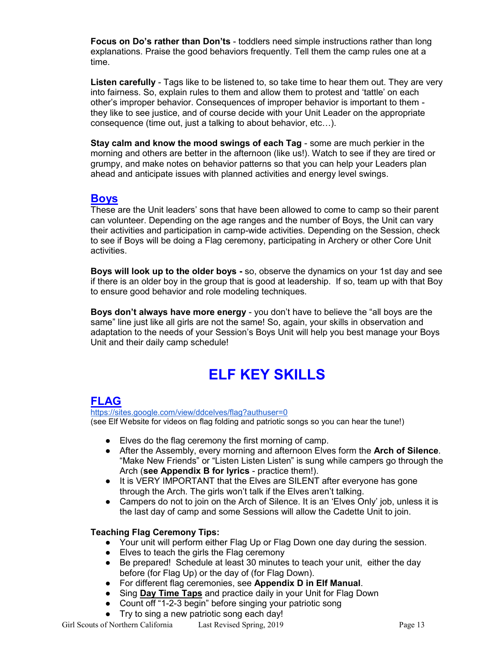**Focus on Do's rather than Don'ts** - toddlers need simple instructions rather than long explanations. Praise the good behaviors frequently. Tell them the camp rules one at a time.

**Listen carefully** - Tags like to be listened to, so take time to hear them out. They are very into fairness. So, explain rules to them and allow them to protest and 'tattle' on each other's improper behavior. Consequences of improper behavior is important to them they like to see justice, and of course decide with your Unit Leader on the appropriate consequence (time out, just a talking to about behavior, etc…).

**Stay calm and know the mood swings of each Tag** - some are much perkier in the morning and others are better in the afternoon (like us!). Watch to see if they are tired or grumpy, and make notes on behavior patterns so that you can help your Leaders plan ahead and anticipate issues with planned activities and energy level swings.

### **Boys**

These are the Unit leaders' sons that have been allowed to come to camp so their parent can volunteer. Depending on the age ranges and the number of Boys, the Unit can vary their activities and participation in camp-wide activities. Depending on the Session, check to see if Boys will be doing a Flag ceremony, participating in Archery or other Core Unit activities.

**Boys will look up to the older boys -** so, observe the dynamics on your 1st day and see if there is an older boy in the group that is good at leadership. If so, team up with that Boy to ensure good behavior and role modeling techniques.

**Boys don't always have more energy** - you don't have to believe the "all boys are the same" line just like all girls are not the same! So, again, your skills in observation and adaptation to the needs of your Session's Boys Unit will help you best manage your Boys Unit and their daily camp schedule!

# **ELF KEY SKILLS**

## **FLAG**

<https://sites.google.com/view/ddcelves/flag?authuser=0> (see Elf Website for videos on flag folding and patriotic songs so you can hear the tune!)

- Elves do the flag ceremony the first morning of camp.
- After the Assembly, every morning and afternoon Elves form the **Arch of Silence**. "Make New Friends" or "Listen Listen Listen" is sung while campers go through the Arch (**see Appendix B for lyrics** - practice them!).
- It is VERY IMPORTANT that the Elves are SILENT after everyone has gone through the Arch. The girls won't talk if the Elves aren't talking.
- Campers do not to join on the Arch of Silence. It is an 'Elves Only' job, unless it is the last day of camp and some Sessions will allow the Cadette Unit to join.

#### **Teaching Flag Ceremony Tips:**

- Your unit will perform either Flag Up or Flag Down one day during the session.
- Elves to teach the girls the Flag ceremony
- Be prepared! Schedule at least 30 minutes to teach your unit, either the day before (for Flag Up) or the day of (for Flag Down).
- For different flag ceremonies, see **Appendix D in Elf Manual**.
- Sing **Day Time Taps** and practice daily in your Unit for Flag Down
- Count off "1-2-3 begin" before singing your patriotic song
- Try to sing a new patriotic song each day!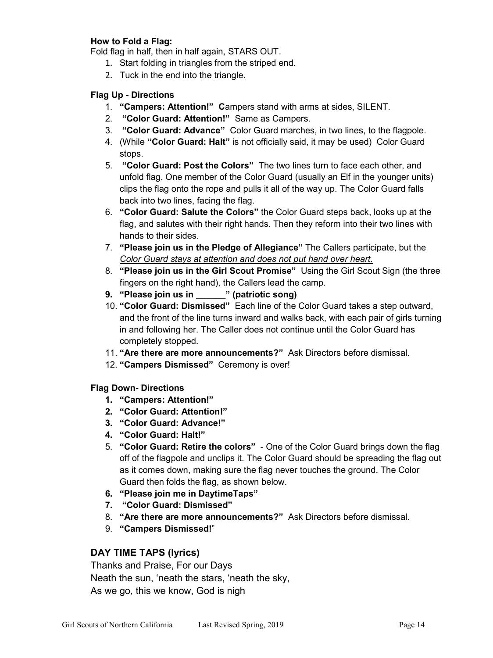#### **How to Fold a Flag:**

Fold flag in half, then in half again, STARS OUT.

- 1. Start folding in triangles from the striped end.
- 2. Tuck in the end into the triangle.

#### **Flag Up - Directions**

- 1. **"Campers: Attention!" C**ampers stand with arms at sides, SILENT.
- 2. **"Color Guard: Attention!"** Same as Campers.
- 3. **"Color Guard: Advance"** Color Guard marches, in two lines, to the flagpole.
- 4. (While **"Color Guard: Halt"** is not officially said, it may be used) Color Guard stops.
- 5. **"Color Guard: Post the Colors"** The two lines turn to face each other, and unfold flag. One member of the Color Guard (usually an Elf in the younger units) clips the flag onto the rope and pulls it all of the way up. The Color Guard falls back into two lines, facing the flag.
- 6. **"Color Guard: Salute the Colors"** the Color Guard steps back, looks up at the flag, and salutes with their right hands. Then they reform into their two lines with hands to their sides.
- 7. **"Please join us in the Pledge of Allegiance"** The Callers participate, but the *Color Guard stays at attention and does not put hand over heart.*
- 8. **"Please join us in the Girl Scout Promise"** Using the Girl Scout Sign (the three fingers on the right hand), the Callers lead the camp.
- **9. "Please join us in \_\_\_\_\_\_" (patriotic song)**
- 10. **"Color Guard: Dismissed"** Each line of the Color Guard takes a step outward, and the front of the line turns inward and walks back, with each pair of girls turning in and following her. The Caller does not continue until the Color Guard has completely stopped.
- 11. **"Are there are more announcements?"** Ask Directors before dismissal.
- 12. **"Campers Dismissed"** Ceremony is over!

#### **Flag Down- Directions**

- **1. "Campers: Attention!"**
- **2. "Color Guard: Attention!"**
- **3. "Color Guard: Advance!"**
- **4. "Color Guard: Halt!"**
- 5. **"Color Guard: Retire the colors"**  One of the Color Guard brings down the flag off of the flagpole and unclips it. The Color Guard should be spreading the flag out as it comes down, making sure the flag never touches the ground. The Color Guard then folds the flag, as shown below.
- **6. "Please join me in DaytimeTaps"**
- **7. "Color Guard: Dismissed"**
- 8. **"Are there are more announcements?"** Ask Directors before dismissal.
- 9. **"Campers Dismissed!**"

#### **DAY TIME TAPS (lyrics)**

Thanks and Praise, For our Days Neath the sun, 'neath the stars, 'neath the sky, As we go, this we know, God is nigh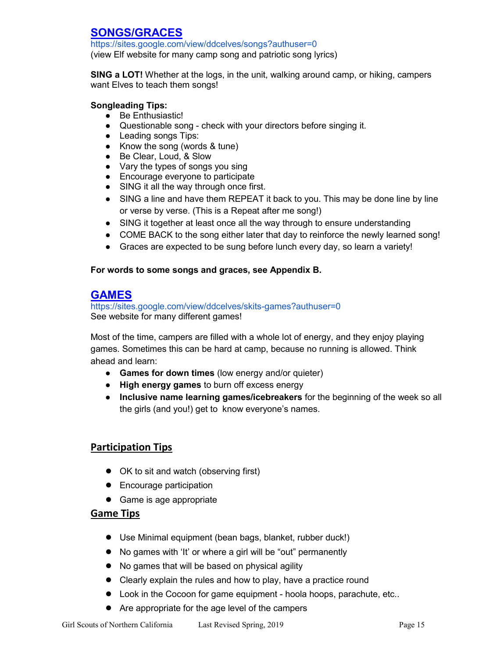## **SONGS/GRACES**

<https://sites.google.com/view/ddcelves/songs?authuser=0> (view Elf website for many camp song and patriotic song lyrics)

**SING a LOT!** Whether at the logs, in the unit, walking around camp, or hiking, campers want Elves to teach them songs!

#### **Songleading Tips:**

- Be Enthusiastic!
- Questionable song check with your directors before singing it.
- Leading songs Tips:
- Know the song (words & tune)
- Be Clear, Loud, & Slow
- Vary the types of songs you sing
- Encourage everyone to participate
- SING it all the way through once first.
- SING a line and have them REPEAT it back to you. This may be done line by line or verse by verse. (This is a Repeat after me song!)
- SING it together at least once all the way through to ensure understanding
- COME BACK to the song either later that day to reinforce the newly learned song!
- Graces are expected to be sung before lunch every day, so learn a variety!

#### **For words to some songs and graces, see Appendix B.**

## **GAMES**

<https://sites.google.com/view/ddcelves/skits-games?authuser=0> See website for many different games!

Most of the time, campers are filled with a whole lot of energy, and they enjoy playing games. Sometimes this can be hard at camp, because no running is allowed. Think ahead and learn:

- **Games for down times** (low energy and/or quieter)
- **High energy games** to burn off excess energy
- **Inclusive name learning games/icebreakers** for the beginning of the week so all the girls (and you!) get to know everyone's names.

## **Participation Tips**

- OK to sit and watch (observing first)
- Encourage participation
- Game is age appropriate

#### **Game Tips**

- Use Minimal equipment (bean bags, blanket, rubber duck!)
- No games with 'It' or where a girl will be "out" permanently
- No games that will be based on physical agility
- Clearly explain the rules and how to play, have a practice round
- Look in the Cocoon for game equipment hoola hoops, parachute, etc..
- Are appropriate for the age level of the campers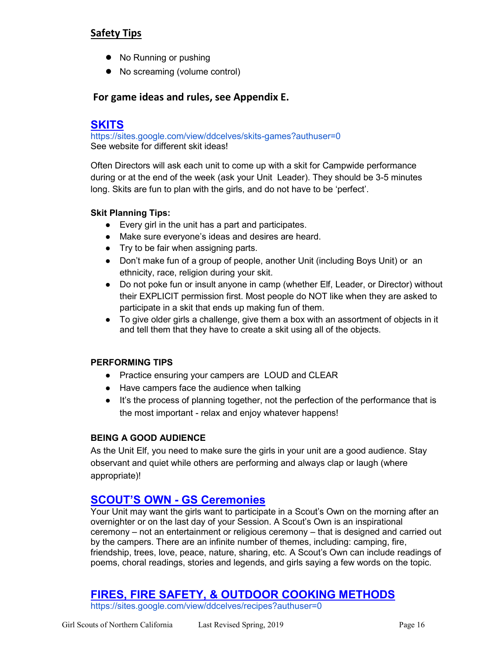## **Safety Tips**

- No Running or pushing
- No screaming (volume control)

### **For game ideas and rules, see Appendix E.**

#### **SKITS**

<https://sites.google.com/view/ddcelves/skits-games?authuser=0> See website for different skit ideas!

Often Directors will ask each unit to come up with a skit for Campwide performance during or at the end of the week (ask your Unit Leader). They should be 3-5 minutes long. Skits are fun to plan with the girls, and do not have to be 'perfect'.

#### **Skit Planning Tips:**

- Every girl in the unit has a part and participates.
- Make sure everyone's ideas and desires are heard.
- Try to be fair when assigning parts.
- Don't make fun of a group of people, another Unit (including Boys Unit) or an ethnicity, race, religion during your skit.
- Do not poke fun or insult anyone in camp (whether Elf, Leader, or Director) without their EXPLICIT permission first. Most people do NOT like when they are asked to participate in a skit that ends up making fun of them.
- To give older girls a challenge, give them a box with an assortment of objects in it and tell them that they have to create a skit using all of the objects.

#### **PERFORMING TIPS**

- Practice ensuring your campers are LOUD and CLEAR
- Have campers face the audience when talking
- It's the process of planning together, not the perfection of the performance that is the most important - relax and enjoy whatever happens!

#### **BEING A GOOD AUDIENCE**

As the Unit Elf, you need to make sure the girls in your unit are a good audience. Stay observant and quiet while others are performing and always clap or laugh (where appropriate)!

## **SCOUT'S OWN - GS Ceremonies**

Your Unit may want the girls want to participate in a Scout's Own on the morning after an overnighter or on the last day of your Session. A Scout's Own is an inspirational ceremony – not an entertainment or religious ceremony – that is designed and carried out by the campers. There are an infinite number of themes, including: camping, fire, friendship, trees, love, peace, nature, sharing, etc. A Scout's Own can include readings of poems, choral readings, stories and legends, and girls saying a few words on the topic.

## **FIRES, FIRE SAFETY, & OUTDOOR COOKING METHODS**

<https://sites.google.com/view/ddcelves/recipes?authuser=0>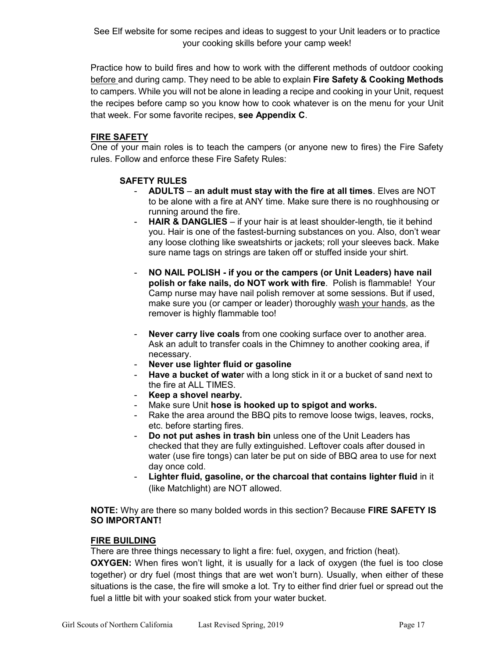See Elf website for some recipes and ideas to suggest to your Unit leaders or to practice your cooking skills before your camp week!

Practice how to build fires and how to work with the different methods of outdoor cooking before and during camp. They need to be able to explain **Fire Safety & Cooking Methods** to campers. While you will not be alone in leading a recipe and cooking in your Unit, request the recipes before camp so you know how to cook whatever is on the menu for your Unit that week. For some favorite recipes, **see Appendix C**.

#### **FIRE SAFETY**

One of your main roles is to teach the campers (or anyone new to fires) the Fire Safety rules. Follow and enforce these Fire Safety Rules:

#### **SAFETY RULES**

- **ADULTS an adult must stay with the fire at all times**. Elves are NOT to be alone with a fire at ANY time. Make sure there is no roughhousing or running around the fire.
- **HAIR & DANGLIES** if your hair is at least shoulder-length, tie it behind you. Hair is one of the fastest-burning substances on you. Also, don't wear any loose clothing like sweatshirts or jackets; roll your sleeves back. Make sure name tags on strings are taken off or stuffed inside your shirt.
- **NO NAIL POLISH - if you or the campers (or Unit Leaders) have nail polish or fake nails, do NOT work with fire**. Polish is flammable! Your Camp nurse may have nail polish remover at some sessions. But if used, make sure you (or camper or leader) thoroughly wash your hands, as the remover is highly flammable too!
- **Never carry live coals** from one cooking surface over to another area. Ask an adult to transfer coals in the Chimney to another cooking area, if necessary.
- **Never use lighter fluid or gasoline**
- Have a bucket of water with a long stick in it or a bucket of sand next to the fire at ALL TIMES.
- **Keep a shovel nearby.**
- Make sure Unit **hose is hooked up to spigot and works.**
- Rake the area around the BBQ pits to remove loose twigs, leaves, rocks, etc. before starting fires.
- **Do not put ashes in trash bin** unless one of the Unit Leaders has checked that they are fully extinguished. Leftover coals after doused in water (use fire tongs) can later be put on side of BBQ area to use for next day once cold.
- **Lighter fluid, gasoline, or the charcoal that contains lighter fluid** in it (like Matchlight) are NOT allowed.

**NOTE:** Why are there so many bolded words in this section? Because **FIRE SAFETY IS SO IMPORTANT!**

#### **FIRE BUILDING**

There are three things necessary to light a fire: fuel, oxygen, and friction (heat).

**OXYGEN:** When fires won't light, it is usually for a lack of oxygen (the fuel is too close together) or dry fuel (most things that are wet won't burn). Usually, when either of these situations is the case, the fire will smoke a lot. Try to either find drier fuel or spread out the fuel a little bit with your soaked stick from your water bucket.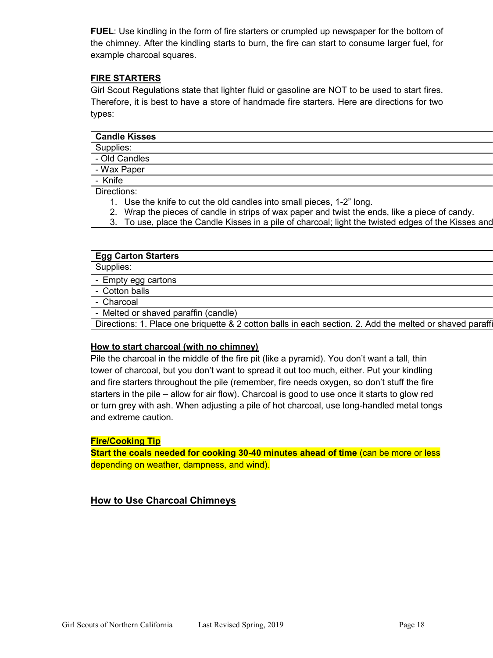**FUEL**: Use kindling in the form of fire starters or crumpled up newspaper for the bottom of the chimney. After the kindling starts to burn, the fire can start to consume larger fuel, for example charcoal squares.

#### **FIRE STARTERS**

Girl Scout Regulations state that lighter fluid or gasoline are NOT to be used to start fires. Therefore, it is best to have a store of handmade fire starters. Here are directions for two types:

| <b>Candle Kisses</b> |
|----------------------|
| Supplies:            |
| - Old Candles        |
| - Wax Paper          |
| - Knife              |

Directions:

- 1. Use the knife to cut the old candles into small pieces, 1-2" long.
- 2. Wrap the pieces of candle in strips of wax paper and twist the ends, like a piece of candy.
- 3. To use, place the Candle Kisses in a pile of charcoal; light the twisted edges of the Kisses and

#### **Egg Carton Starters**

Supplies:

- Empty egg cartons

- Cotton balls

- Charcoal

- Melted or shaved paraffin (candle)

Directions: 1. Place one briquette & 2 cotton balls in each section. 2. Add the melted or shaved paraffi

#### **How to start charcoal (with no chimney)**

Pile the charcoal in the middle of the fire pit (like a pyramid). You don't want a tall, thin tower of charcoal, but you don't want to spread it out too much, either. Put your kindling and fire starters throughout the pile (remember, fire needs oxygen, so don't stuff the fire starters in the pile – allow for air flow). Charcoal is good to use once it starts to glow red or turn grey with ash. When adjusting a pile of hot charcoal, use long-handled metal tongs and extreme caution.

#### **Fire/Cooking Tip**

**Start the coals needed for cooking 30-40 minutes ahead of time** (can be more or less depending on weather, dampness, and wind).

**How to Use Charcoal Chimneys**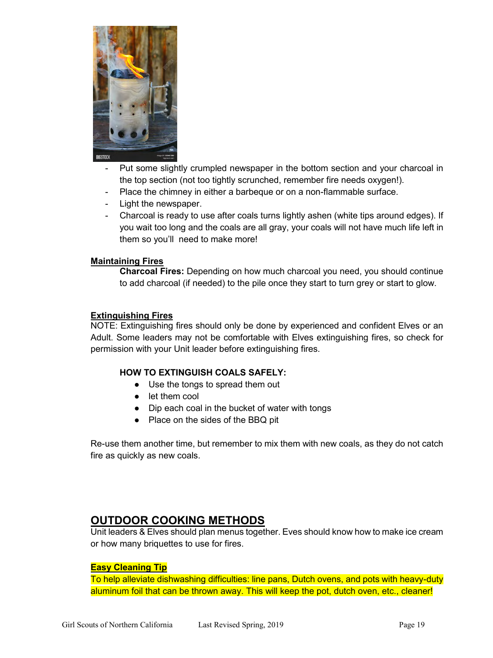

- Put some slightly crumpled newspaper in the bottom section and your charcoal in the top section (not too tightly scrunched, remember fire needs oxygen!).
- Place the chimney in either a barbeque or on a non-flammable surface.
- Light the newspaper.
- Charcoal is ready to use after coals turns lightly ashen (white tips around edges). If you wait too long and the coals are all gray, your coals will not have much life left in them so you'll need to make more!

#### **Maintaining Fires**

**Charcoal Fires:** Depending on how much charcoal you need, you should continue to add charcoal (if needed) to the pile once they start to turn grey or start to glow.

#### **Extinguishing Fires**

NOTE: Extinguishing fires should only be done by experienced and confident Elves or an Adult. Some leaders may not be comfortable with Elves extinguishing fires, so check for permission with your Unit leader before extinguishing fires.

#### **HOW TO EXTINGUISH COALS SAFELY:**

- Use the tongs to spread them out
- let them cool
- Dip each coal in the bucket of water with tongs
- Place on the sides of the BBQ pit

Re-use them another time, but remember to mix them with new coals, as they do not catch fire as quickly as new coals.

## **OUTDOOR COOKING METHODS**

Unit leaders & Elves should plan menus together. Eves should know how to make ice cream or how many briquettes to use for fires.

#### **Easy Cleaning Tip**

To help alleviate dishwashing difficulties: line pans, Dutch ovens, and pots with heavy-duty aluminum foil that can be thrown away. This will keep the pot, dutch oven, etc., cleaner!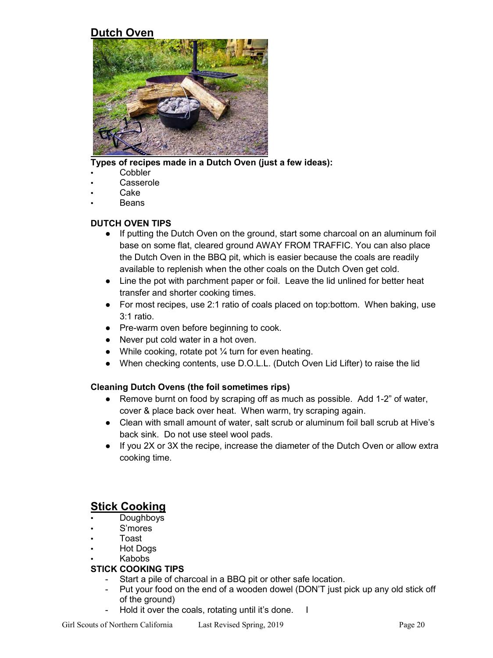## **Dutch Oven**



#### **Types of recipes made in a Dutch Oven (just a few ideas):**

- Cobbler
- Casserole
- Cake
- **Beans**

#### **DUTCH OVEN TIPS**

- If putting the Dutch Oven on the ground, start some charcoal on an aluminum foil base on some flat, cleared ground AWAY FROM TRAFFIC. You can also place the Dutch Oven in the BBQ pit, which is easier because the coals are readily available to replenish when the other coals on the Dutch Oven get cold.
- Line the pot with parchment paper or foil. Leave the lid unlined for better heat transfer and shorter cooking times.
- For most recipes, use 2:1 ratio of coals placed on top:bottom. When baking, use 3:1 ratio.
- Pre-warm oven before beginning to cook.
- Never put cold water in a hot oven.
- While cooking, rotate pot  $\frac{1}{4}$  turn for even heating.
- When checking contents, use D.O.L.L. (Dutch Oven Lid Lifter) to raise the lid

#### **Cleaning Dutch Ovens (the foil sometimes rips)**

- Remove burnt on food by scraping off as much as possible. Add 1-2" of water, cover & place back over heat. When warm, try scraping again.
- Clean with small amount of water, salt scrub or aluminum foil ball scrub at Hive's back sink. Do not use steel wool pads.
- If you 2X or 3X the recipe, increase the diameter of the Dutch Oven or allow extra cooking time.

## **Stick Cooking**

- Doughboys
- S'mores
- Toast
- Hot Dogs
- Kabobs

#### **STICK COOKING TIPS**

- Start a pile of charcoal in a BBQ pit or other safe location.
- Put your food on the end of a wooden dowel (DON'T just pick up any old stick off of the ground)
- Hold it over the coals, rotating until it's done. I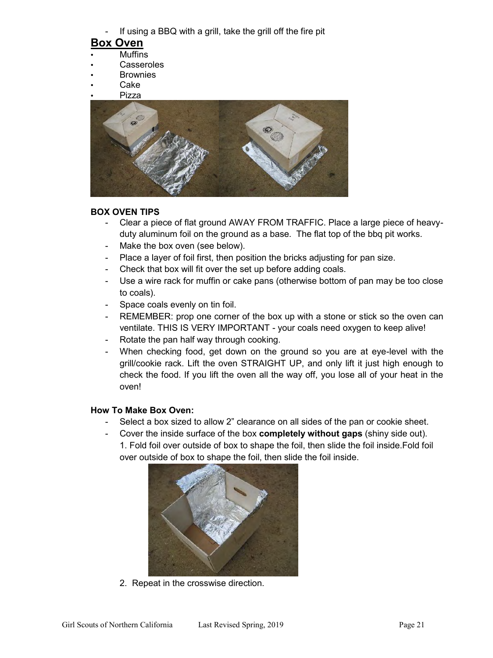If using a BBQ with a grill, take the grill off the fire pit

## **Box Oven**

- Muffins
- Casseroles
- **Brownies**
- Cake
- Pizza



#### **BOX OVEN TIPS**

- Clear a piece of flat ground AWAY FROM TRAFFIC. Place a large piece of heavyduty aluminum foil on the ground as a base. The flat top of the bbq pit works.
- Make the box oven (see below).
- Place a layer of foil first, then position the bricks adjusting for pan size.
- Check that box will fit over the set up before adding coals.
- Use a wire rack for muffin or cake pans (otherwise bottom of pan may be too close to coals).
- Space coals evenly on tin foil.
- REMEMBER: prop one corner of the box up with a stone or stick so the oven can ventilate. THIS IS VERY IMPORTANT - your coals need oxygen to keep alive!
- Rotate the pan half way through cooking.
- When checking food, get down on the ground so you are at eye-level with the grill/cookie rack. Lift the oven STRAIGHT UP, and only lift it just high enough to check the food. If you lift the oven all the way off, you lose all of your heat in the oven!

#### **How To Make Box Oven:**

- Select a box sized to allow 2" clearance on all sides of the pan or cookie sheet.
- Cover the inside surface of the box **completely without gaps** (shiny side out). 1. Fold foil over outside of box to shape the foil, then slide the foil inside.Fold foil over outside of box to shape the foil, then slide the foil inside.



2. Repeat in the crosswise direction.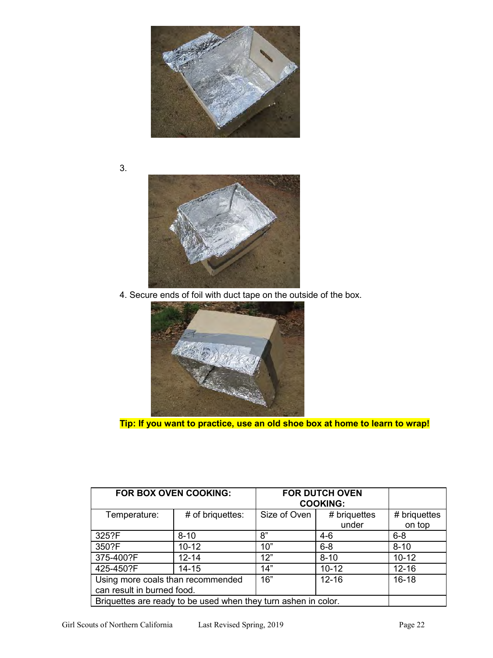

3.



4. Secure ends of foil with duct tape on the outside of the box.



**Tip: If you want to practice, use an old shoe box at home to learn to wrap!**

| FOR BOX OVEN COOKING:                                           |                  | <b>FOR DUTCH OVEN</b><br><b>COOKING:</b> |                       |                        |
|-----------------------------------------------------------------|------------------|------------------------------------------|-----------------------|------------------------|
| Temperature:                                                    | # of briquettes: | Size of Oven                             | # briquettes<br>under | # briquettes<br>on top |
| 325?F                                                           | $8 - 10$         | 8"                                       | $4-6$                 | $6 - 8$                |
| 350?F                                                           | $10 - 12$        | 10"                                      | $6 - 8$               | $8 - 10$               |
| 375-400?F                                                       | $12 - 14$        | 12"                                      | $8 - 10$              | $10 - 12$              |
| 425-450?F                                                       | $14 - 15$        | 14"                                      | $10 - 12$             | $12 - 16$              |
| Using more coals than recommended<br>can result in burned food. |                  | 16"                                      | $12 - 16$             | $16 - 18$              |
| Briquettes are ready to be used when they turn ashen in color.  |                  |                                          |                       |                        |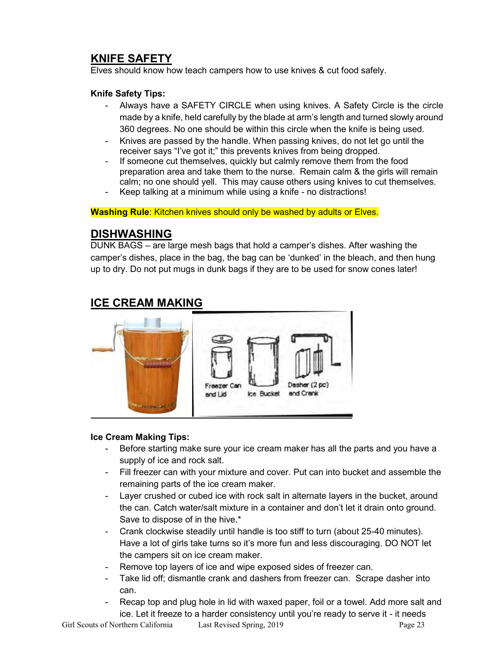## **KNIFE SAFETY**

Elves should know how teach campers how to use knives & cut food safely.

#### **Knife Safety Tips:**

- Always have a SAFETY CIRCLE when using knives. A Safety Circle is the circle made by a knife, held carefully by the blade at arm's length and turned slowly around 360 degrees. No one should be within this circle when the knife is being used.
- Knives are passed by the handle. When passing knives, do not let go until the receiver says "I've got it;" this prevents knives from being dropped.
- If someone cut themselves, quickly but calmly remove them from the food preparation area and take them to the nurse. Remain calm & the girls will remain calm; no one should yell. This may cause others using knives to cut themselves.
- Keep talking at a minimum while using a knife no distractions!

**Washing Rule**: Kitchen knives should only be washed by adults or Elves.

## **DISHWASHING**

DUNK BAGS – are large mesh bags that hold a camper's dishes. After washing the camper's dishes, place in the bag, the bag can be 'dunked' in the bleach, and then hung up to dry. Do not put mugs in dunk bags if they are to be used for snow cones later!

## **ICE CREAM MAKING**



#### **Ice Cream Making Tips:**

- Before starting make sure your ice cream maker has all the parts and you have a supply of ice and rock salt.
- Fill freezer can with your mixture and cover. Put can into bucket and assemble the remaining parts of the ice cream maker.
- Layer crushed or cubed ice with rock salt in alternate layers in the bucket, around the can. Catch water/salt mixture in a container and don't let it drain onto ground. Save to dispose of in the hive.\*
- Crank clockwise steadily until handle is too stiff to turn (about 25-40 minutes). Have a lot of girls take turns so it's more fun and less discouraging. DO NOT let the campers sit on ice cream maker.
- Remove top layers of ice and wipe exposed sides of freezer can.
- Take lid off; dismantle crank and dashers from freezer can. Scrape dasher into can.
- Recap top and plug hole in lid with waxed paper, foil or a towel. Add more salt and ice. Let it freeze to a harder consistency until you're ready to serve it - it needs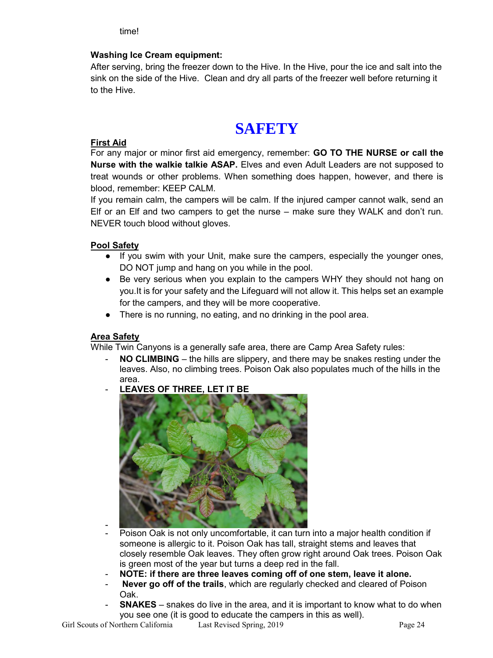time!

#### **Washing Ice Cream equipment:**

After serving, bring the freezer down to the Hive. In the Hive, pour the ice and salt into the sink on the side of the Hive. Clean and dry all parts of the freezer well before returning it to the Hive.

# **SAFETY**

#### **First Aid**

For any major or minor first aid emergency, remember: **GO TO THE NURSE or call the Nurse with the walkie talkie ASAP.** Elves and even Adult Leaders are not supposed to treat wounds or other problems. When something does happen, however, and there is blood, remember: KEEP CALM.

If you remain calm, the campers will be calm. If the injured camper cannot walk, send an Elf or an Elf and two campers to get the nurse – make sure they WALK and don't run. NEVER touch blood without gloves.

#### **Pool Safety**

- If you swim with your Unit, make sure the campers, especially the younger ones, DO NOT jump and hang on you while in the pool.
- Be very serious when you explain to the campers WHY they should not hang on you.It is for your safety and the Lifeguard will not allow it. This helps set an example for the campers, and they will be more cooperative.
- There is no running, no eating, and no drinking in the pool area.

#### **Area Safety**

While Twin Canyons is a generally safe area, there are Camp Area Safety rules:

**NO CLIMBING** – the hills are slippery, and there may be snakes resting under the leaves. Also, no climbing trees. Poison Oak also populates much of the hills in the area.



**LEAVES OF THREE, LET IT BE** 

- Poison Oak is not only uncomfortable, it can turn into a major health condition if someone is allergic to it. Poison Oak has tall, straight stems and leaves that closely resemble Oak leaves. They often grow right around Oak trees. Poison Oak is green most of the year but turns a deep red in the fall.
- **NOTE: if there are three leaves coming off of one stem, leave it alone.**
- **Never go off of the trails**, which are regularly checked and cleared of Poison Oak.
- **SNAKES** snakes do live in the area, and it is important to know what to do when you see one (it is good to educate the campers in this as well).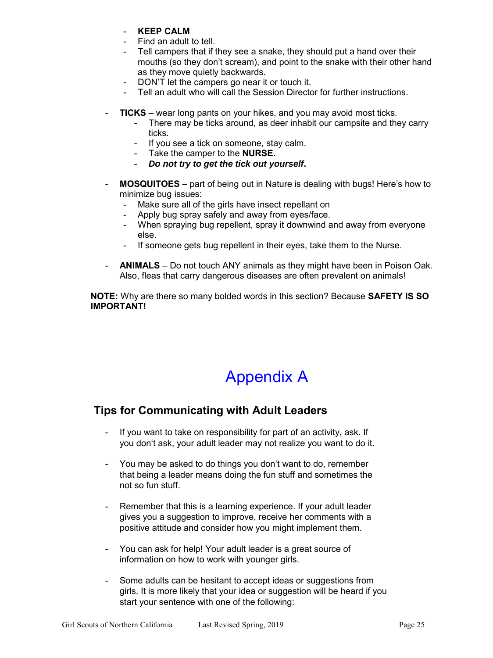- **KEEP CALM**
- Find an adult to tell.
- Tell campers that if they see a snake, they should put a hand over their mouths (so they don't scream), and point to the snake with their other hand as they move quietly backwards.
- DON'T let the campers go near it or touch it.
- Tell an adult who will call the Session Director for further instructions.
- **TICKS** wear long pants on your hikes, and you may avoid most ticks.
	- There may be ticks around, as deer inhabit our campsite and they carry ticks.
	- If you see a tick on someone, stay calm.
	- Take the camper to the **NURSE.**
	- *Do not try to get the tick out yourself***.**
- **MOSQUITOES** part of being out in Nature is dealing with bugs! Here's how to minimize bug issues:
	- Make sure all of the girls have insect repellant on
	- Apply bug spray safely and away from eyes/face.
	- When spraying bug repellent, spray it downwind and away from everyone else.
	- If someone gets bug repellent in their eyes, take them to the Nurse.
- **ANIMALS** Do not touch ANY animals as they might have been in Poison Oak. Also, fleas that carry dangerous diseases are often prevalent on animals!

**NOTE:** Why are there so many bolded words in this section? Because **SAFETY IS SO IMPORTANT!**

# Appendix A

## **Tips for Communicating with Adult Leaders**

- If you want to take on responsibility for part of an activity, ask. If you don't ask, your adult leader may not realize you want to do it.
- You may be asked to do things you don't want to do, remember that being a leader means doing the fun stuff and sometimes the not so fun stuff.
- Remember that this is a learning experience. If your adult leader gives you a suggestion to improve, receive her comments with a positive attitude and consider how you might implement them.
- You can ask for help! Your adult leader is a great source of information on how to work with younger girls.
- Some adults can be hesitant to accept ideas or suggestions from girls. It is more likely that your idea or suggestion will be heard if you start your sentence with one of the following: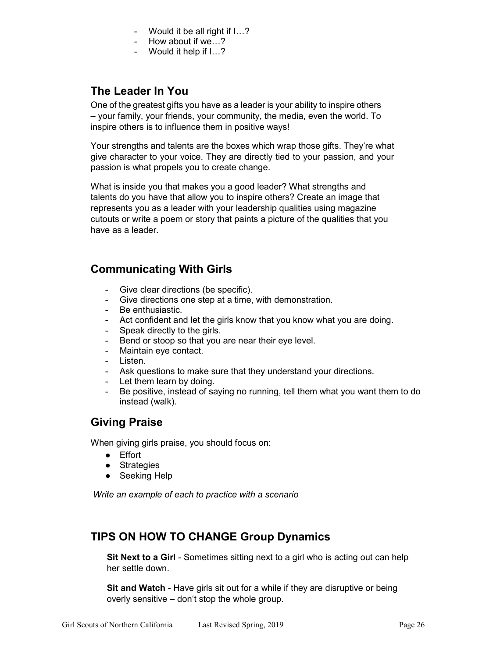- Would it be all right if I…?
- How about if we…?
- Would it help if I…?

## **The Leader In You**

One of the greatest gifts you have as a leader is your ability to inspire others – your family, your friends, your community, the media, even the world. To inspire others is to influence them in positive ways!

Your strengths and talents are the boxes which wrap those gifts. They're what give character to your voice. They are directly tied to your passion, and your passion is what propels you to create change.

What is inside you that makes you a good leader? What strengths and talents do you have that allow you to inspire others? Create an image that represents you as a leader with your leadership qualities using magazine cutouts or write a poem or story that paints a picture of the qualities that you have as a leader.

## **Communicating With Girls**

- Give clear directions (be specific).
- Give directions one step at a time, with demonstration.
- Be enthusiastic.
- Act confident and let the girls know that you know what you are doing.
- Speak directly to the girls.
- Bend or stoop so that you are near their eye level.
- Maintain eye contact.
- Listen.
- Ask questions to make sure that they understand your directions.
- Let them learn by doing.
- Be positive, instead of saying no running, tell them what you want them to do instead (walk).

## **Giving Praise**

When giving girls praise, you should focus on:

- Effort
- Strategies
- Seeking Help

*Write an example of each to practice with a scenario*

## **TIPS ON HOW TO CHANGE Group Dynamics**

**Sit Next to a Girl** - Sometimes sitting next to a girl who is acting out can help her settle down.

**Sit and Watch** - Have girls sit out for a while if they are disruptive or being overly sensitive – don't stop the whole group.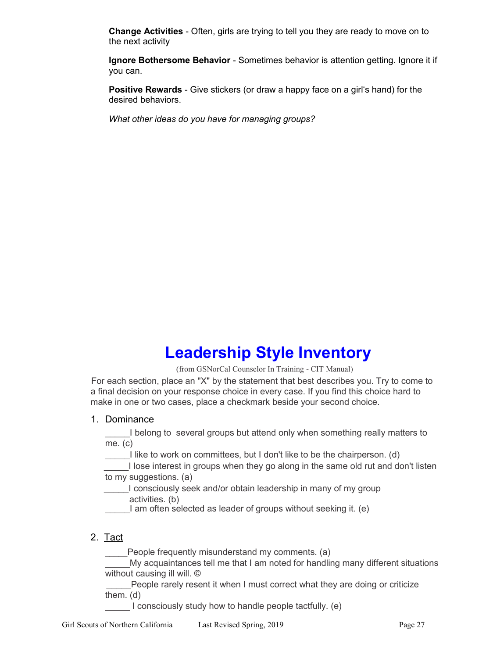**Change Activities** - Often, girls are trying to tell you they are ready to move on to the next activity

**Ignore Bothersome Behavior** - Sometimes behavior is attention getting. Ignore it if you can.

**Positive Rewards** - Give stickers (or draw a happy face on a girl's hand) for the desired behaviors.

*What other ideas do you have for managing groups?*

# **Leadership Style Inventory**

(from GSNorCal Counselor In Training - CIT Manual)

For each section, place an "X" by the statement that best describes you. Try to come to a final decision on your response choice in every case. If you find this choice hard to make in one or two cases, place a checkmark beside your second choice.

#### 1. Dominance

I belong to several groups but attend only when something really matters to me. (c)

\_\_\_\_\_I like to work on committees, but I don't like to be the chairperson. (d)

I lose interest in groups when they go along in the same old rut and don't listen to my suggestions. (a)

- I consciously seek and/or obtain leadership in many of my group activities. (b)
- \_\_\_\_\_I am often selected as leader of groups without seeking it. (e)

#### 2. Tact

People frequently misunderstand my comments. (a)

My acquaintances tell me that I am noted for handling many different situations without causing ill will. ©

People rarely resent it when I must correct what they are doing or criticize them. (d)

I consciously study how to handle people tactfully. (e)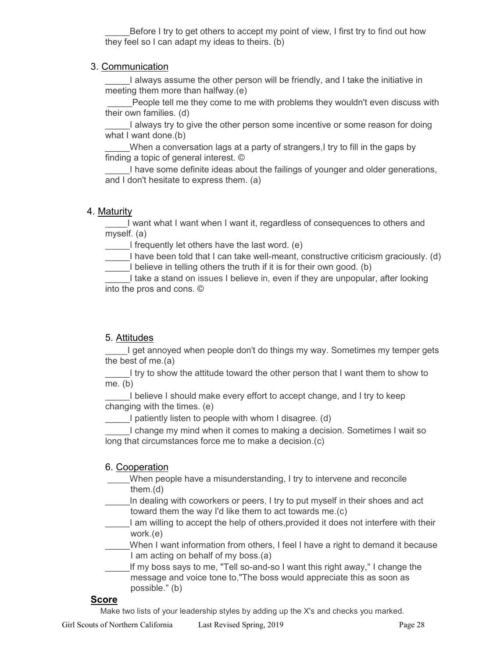Before I try to get others to accept my point of view, I first try to find out how they feel so I can adapt my ideas to theirs. (b)

#### 3. Communication

I always assume the other person will be friendly, and I take the initiative in meeting them more than halfway.(e)

People tell me they come to me with problems they wouldn't even discuss with their own families. (d)

I always try to give the other person some incentive or some reason for doing what I want done.(b)

When a conversation lags at a party of strangers, I try to fill in the gaps by finding a topic of general interest. ©

I have some definite ideas about the failings of younger and older generations, and I don't hesitate to express them. (a)

#### 4. Maturity

I want what I want when I want it, regardless of consequences to others and myself. (a)

I frequently let others have the last word. (e)

\_\_\_\_\_I have been told that I can take well-meant, constructive criticism graciously. (d) I believe in telling others the truth if it is for their own good. (b)

I take a stand on issues I believe in, even if they are unpopular, after looking into the pros and cons. ©

#### 5. Attitudes

I get annoyed when people don't do things my way. Sometimes my temper gets the best of me.(a)

I try to show the attitude toward the other person that I want them to show to me. (b)

I believe I should make every effort to accept change, and I try to keep changing with the times. (e)

I patiently listen to people with whom I disagree. (d)

I change my mind when it comes to making a decision. Sometimes I wait so long that circumstances force me to make a decision.(c)

#### 6. Cooperation

- When people have a misunderstanding, I try to intervene and reconcile them.(d)
- In dealing with coworkers or peers, I try to put myself in their shoes and act toward them the way I'd like them to act towards me.(c)
- I am willing to accept the help of others, provided it does not interfere with their work.(e)
- \_\_\_\_\_When I want information from others, I feel I have a right to demand it because I am acting on behalf of my boss.(a)
- If my boss says to me, "Tell so-and-so I want this right away," I change the message and voice tone to,"The boss would appreciate this as soon as possible." (b)

#### **Score**

Make two lists of your leadership styles by adding up the X's and checks you marked.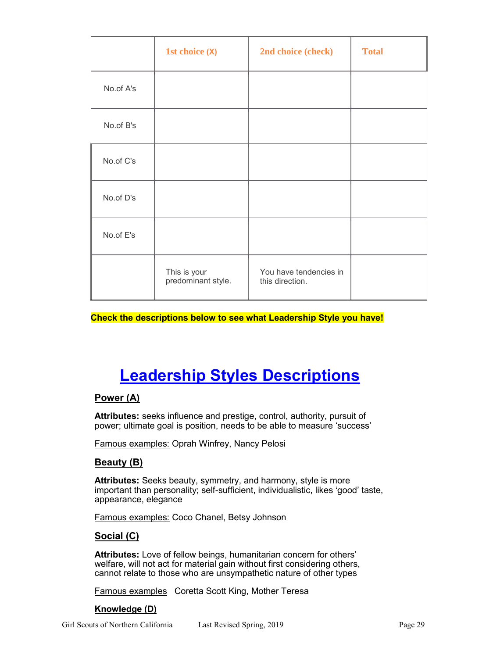|           | 1st choice (X)                     | 2nd choice (check)                        | <b>Total</b> |
|-----------|------------------------------------|-------------------------------------------|--------------|
| No.of A's |                                    |                                           |              |
| No.of B's |                                    |                                           |              |
| No.of C's |                                    |                                           |              |
| No.of D's |                                    |                                           |              |
| No.of E's |                                    |                                           |              |
|           | This is your<br>predominant style. | You have tendencies in<br>this direction. |              |

**Check the descriptions below to see what Leadership Style you have!**

# **Leadership Styles Descriptions**

#### **Power (A)**

**Attributes:** seeks influence and prestige, control, authority, pursuit of power; ultimate goal is position, needs to be able to measure 'success'

Famous examples: Oprah Winfrey, Nancy Pelosi

#### **Beauty (B)**

**Attributes:** Seeks beauty, symmetry, and harmony, style is more important than personality; self-sufficient, individualistic, likes 'good' taste, appearance, elegance

Famous examples: Coco Chanel, Betsy Johnson

#### **Social (C)**

**Attributes:** Love of fellow beings, humanitarian concern for others' welfare, will not act for material gain without first considering others, cannot relate to those who are unsympathetic nature of other types

Famous examples Coretta Scott King, Mother Teresa

#### **Knowledge (D)**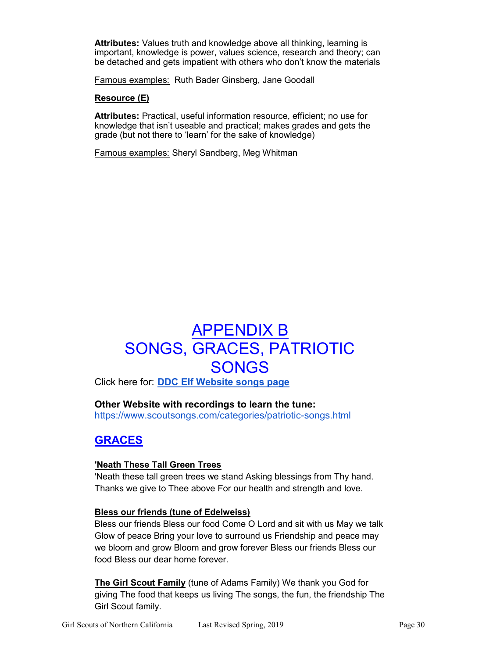**Attributes:** Values truth and knowledge above all thinking, learning is important, knowledge is power, values science, research and theory; can be detached and gets impatient with others who don't know the materials

Famous examples: Ruth Bader Ginsberg, Jane Goodall

#### **Resource (E)**

**Attributes:** Practical, useful information resource, efficient; no use for knowledge that isn't useable and practical; makes grades and gets the grade (but not there to 'learn' for the sake of knowledge)

Famous examples: Sheryl Sandberg, Meg Whitman

# APPENDIX B SONGS, GRACES, PATRIOTIC **SONGS**

Click here for: **[DDC Elf Website songs page](https://sites.google.com/view/ddcelves/songs)**

#### **Other Website with recordings to learn the tune:**

<https://www.scoutsongs.com/categories/patriotic-songs.html>

## **GRACES**

#### **'Neath These Tall Green Trees**

'Neath these tall green trees we stand Asking blessings from Thy hand. Thanks we give to Thee above For our health and strength and love.

#### **Bless our friends (tune of Edelweiss)**

Bless our friends Bless our food Come O Lord and sit with us May we talk Glow of peace Bring your love to surround us Friendship and peace may we bloom and grow Bloom and grow forever Bless our friends Bless our food Bless our dear home forever.

**The Girl Scout Family** (tune of Adams Family) We thank you God for giving The food that keeps us living The songs, the fun, the friendship The Girl Scout family.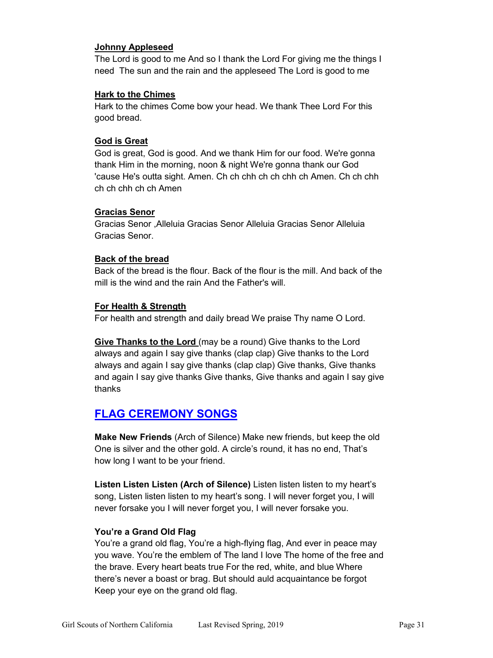#### **Johnny Appleseed**

The Lord is good to me And so I thank the Lord For giving me the things I need The sun and the rain and the appleseed The Lord is good to me

#### **Hark to the Chimes**

Hark to the chimes Come bow your head. We thank Thee Lord For this good bread.

#### **God is Great**

God is great, God is good. And we thank Him for our food. We're gonna thank Him in the morning, noon & night We're gonna thank our God 'cause He's outta sight. Amen. Ch ch chh ch ch chh ch Amen. Ch ch chh ch ch chh ch ch Amen

#### **Gracias Senor**

Gracias Senor ,Alleluia Gracias Senor Alleluia Gracias Senor Alleluia Gracias Senor.

#### **Back of the bread**

Back of the bread is the flour. Back of the flour is the mill. And back of the mill is the wind and the rain And the Father's will.

#### **For Health & Strength**

For health and strength and daily bread We praise Thy name O Lord.

**Give Thanks to the Lord** (may be a round) Give thanks to the Lord always and again I say give thanks (clap clap) Give thanks to the Lord always and again I say give thanks (clap clap) Give thanks, Give thanks and again I say give thanks Give thanks, Give thanks and again I say give thanks

## **FLAG CEREMONY SONGS**

**Make New Friends** (Arch of Silence) Make new friends, but keep the old One is silver and the other gold. A circle's round, it has no end, That's how long I want to be your friend.

**Listen Listen Listen (Arch of Silence)** Listen listen listen to my heart's song, Listen listen listen to my heart's song. I will never forget you, I will never forsake you I will never forget you, I will never forsake you.

#### **You're a Grand Old Flag**

You're a grand old flag, You're a high-flying flag, And ever in peace may you wave. You're the emblem of The land I love The home of the free and the brave. Every heart beats true For the red, white, and blue Where there's never a boast or brag. But should auld acquaintance be forgot Keep your eye on the grand old flag.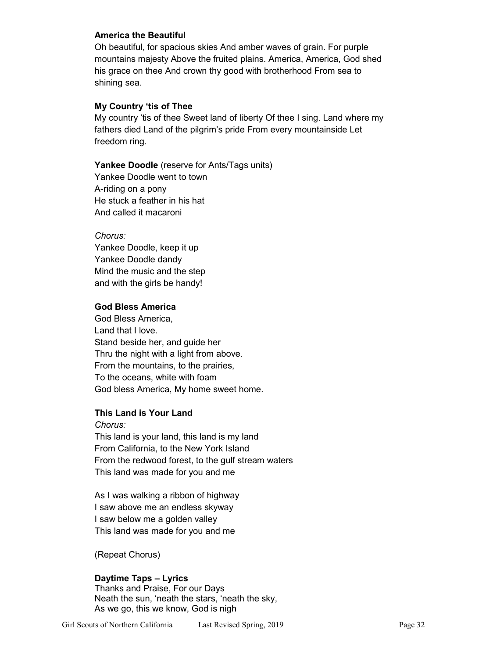#### **America the Beautiful**

Oh beautiful, for spacious skies And amber waves of grain. For purple mountains majesty Above the fruited plains. America, America, God shed his grace on thee And crown thy good with brotherhood From sea to shining sea.

#### **My Country 'tis of Thee**

My country 'tis of thee Sweet land of liberty Of thee I sing. Land where my fathers died Land of the pilgrim's pride From every mountainside Let freedom ring.

#### **Yankee Doodle** (reserve for Ants/Tags units)

Yankee Doodle went to town A-riding on a pony He stuck a feather in his hat And called it macaroni

*Chorus:*

Yankee Doodle, keep it up Yankee Doodle dandy Mind the music and the step and with the girls be handy!

#### **God Bless America**

God Bless America, Land that I love. Stand beside her, and guide her Thru the night with a light from above. From the mountains, to the prairies, To the oceans, white with foam God bless America, My home sweet home.

#### **This Land is Your Land**

*Chorus:* This land is your land, this land is my land From California, to the New York Island From the redwood forest, to the gulf stream waters This land was made for you and me

As I was walking a ribbon of highway I saw above me an endless skyway I saw below me a golden valley This land was made for you and me

(Repeat Chorus)

#### **Daytime Taps – Lyrics**

Thanks and Praise, For our Days Neath the sun, 'neath the stars, 'neath the sky, As we go, this we know, God is nigh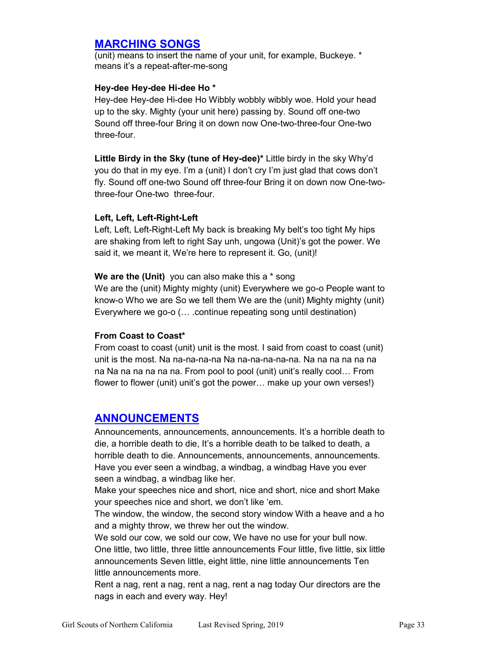### **MARCHING SONGS**

(unit) means to insert the name of your unit, for example, Buckeye. \* means it's a repeat-after-me-song

#### **Hey-dee Hey-dee Hi-dee Ho \***

Hey-dee Hey-dee Hi-dee Ho Wibbly wobbly wibbly woe. Hold your head up to the sky. Mighty (your unit here) passing by. Sound off one-two Sound off three-four Bring it on down now One-two-three-four One-two three-four.

**Little Birdy in the Sky (tune of Hey-dee)\*** Little birdy in the sky Why'd you do that in my eye. I'm a (unit) I don't cry I'm just glad that cows don't fly. Sound off one-two Sound off three-four Bring it on down now One-twothree-four One-two three-four.

#### **Left, Left, Left-Right-Left**

Left, Left, Left-Right-Left My back is breaking My belt's too tight My hips are shaking from left to right Say unh, ungowa (Unit)'s got the power. We said it, we meant it, We're here to represent it. Go, (unit)!

#### **We are the (Unit)** you can also make this a \* song

We are the (unit) Mighty mighty (unit) Everywhere we go-o People want to know-o Who we are So we tell them We are the (unit) Mighty mighty (unit) Everywhere we go-o (… .continue repeating song until destination)

#### **From Coast to Coast\***

From coast to coast (unit) unit is the most. I said from coast to coast (unit) unit is the most. Na na-na-na-na Na na-na-na-na-na. Na na na na na na na Na na na na na na. From pool to pool (unit) unit's really cool… From flower to flower (unit) unit's got the power… make up your own verses!)

## **ANNOUNCEMENTS**

Announcements, announcements, announcements. It's a horrible death to die, a horrible death to die, It's a horrible death to be talked to death, a horrible death to die. Announcements, announcements, announcements. Have you ever seen a windbag, a windbag, a windbag Have you ever seen a windbag, a windbag like her.

Make your speeches nice and short, nice and short, nice and short Make your speeches nice and short, we don't like 'em.

The window, the window, the second story window With a heave and a ho and a mighty throw, we threw her out the window.

We sold our cow, we sold our cow, We have no use for your bull now. One little, two little, three little announcements Four little, five little, six little announcements Seven little, eight little, nine little announcements Ten little announcements more.

Rent a nag, rent a nag, rent a nag, rent a nag today Our directors are the nags in each and every way. Hey!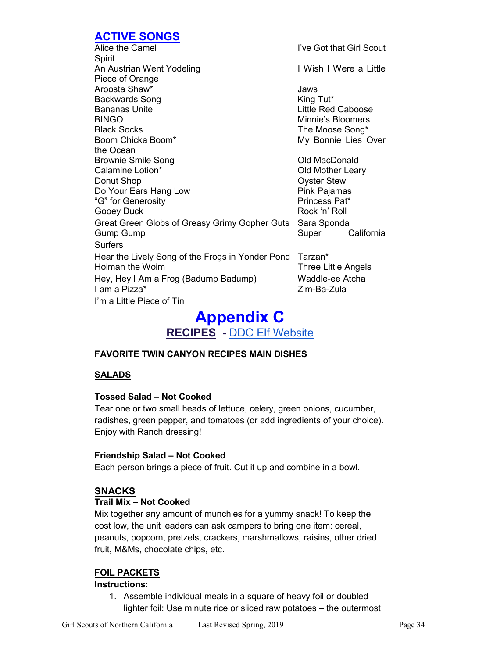# **ACTIVE SONGS**<br>Alice the Camel

**Spirit** An Austrian Went Yodeling **I Wish I Were a Little** Piece of Orange Aroosta Shaw\* Jaws Backwards Song King Tut<sup>\*</sup> **Bananas Unite Little Red Caboose** BINGO Minnie's Bloomers Black Socks **The Moose Song**\* Boom Chicka Boom\* My Bonnie Lies Over the Ocean Brownie Smile Song **Constanting Solution** Cld MacDonald Calamine Lotion\* Old Mother Leary Donut Shop Controller Controller Controller Controller Controller Controller Controller Controller Controller Do Your Ears Hang Low **Pink Pajamas** "G" for Generosity express Pat<sup>\*</sup> Gooey Duck **Rock** 'n' Rock 'n' Roll Great Green Globs of Greasy Grimy Gopher Guts Sara Sponda Gump Gump Super California **Surfers** Hear the Lively Song of the Frogs in Yonder Pond Tarzan\* Hoiman the Woim **Three Little Angels** Hey, Hey I Am a Frog (Badump Badump) Waddle-ee Atcha I am a Pizza\*  $\blacksquare$ I'm a Little Piece of Tin

I've Got that Girl Scout

## **Appendix C [RECIPES](https://sites.google.com/view/ddcelves/recipes) -** [DDC Elf Website](https://sites.google.com/view/ddcelves/recipes?authuser=0)

#### **FAVORITE TWIN CANYON RECIPES MAIN DISHES**

#### **SALADS**

#### **Tossed Salad – Not Cooked**

Tear one or two small heads of lettuce, celery, green onions, cucumber, radishes, green pepper, and tomatoes (or add ingredients of your choice). Enjoy with Ranch dressing!

#### **Friendship Salad – Not Cooked**

Each person brings a piece of fruit. Cut it up and combine in a bowl.

#### **SNACKS**

#### **Trail Mix – Not Cooked**

Mix together any amount of munchies for a yummy snack! To keep the cost low, the unit leaders can ask campers to bring one item: cereal, peanuts, popcorn, pretzels, crackers, marshmallows, raisins, other dried fruit, M&Ms, chocolate chips, etc.

#### **FOIL PACKETS**

#### **Instructions:**

1. Assemble individual meals in a square of heavy foil or doubled lighter foil: Use minute rice or sliced raw potatoes – the outermost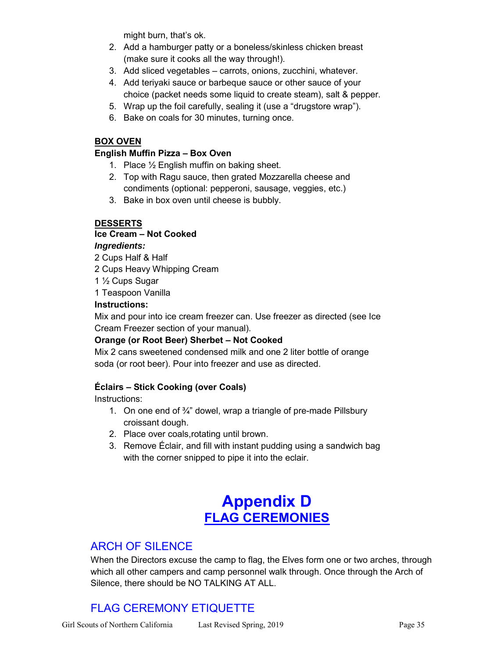might burn, that's ok.

- 2. Add a hamburger patty or a boneless/skinless chicken breast (make sure it cooks all the way through!).
- 3. Add sliced vegetables carrots, onions, zucchini, whatever.
- 4. Add teriyaki sauce or barbeque sauce or other sauce of your choice (packet needs some liquid to create steam), salt & pepper.
- 5. Wrap up the foil carefully, sealing it (use a "drugstore wrap").
- 6. Bake on coals for 30 minutes, turning once.

#### **BOX OVEN**

#### **English Muffin Pizza – Box Oven**

- 1. Place ½ English muffin on baking sheet.
- 2. Top with Ragu sauce, then grated Mozzarella cheese and condiments (optional: pepperoni, sausage, veggies, etc.)
- 3. Bake in box oven until cheese is bubbly.

#### **DESSERTS**

## **Ice Cream – Not Cooked**

#### *Ingredients:*

2 Cups Half & Half

- 2 Cups Heavy Whipping Cream
- 1 ½ Cups Sugar

1 Teaspoon Vanilla

#### **Instructions:**

Mix and pour into ice cream freezer can. Use freezer as directed (see Ice Cream Freezer section of your manual).

#### **Orange (or Root Beer) Sherbet – Not Cooked**

Mix 2 cans sweetened condensed milk and one 2 liter bottle of orange soda (or root beer). Pour into freezer and use as directed.

#### **Éclairs – Stick Cooking (over Coals)**

Instructions:

- 1. On one end of  $\frac{3}{4}$ " dowel, wrap a triangle of pre-made Pillsbury croissant dough.
- 2. Place over coals,rotating until brown.
- 3. Remove Éclair, and fill with instant pudding using a sandwich bag with the corner snipped to pipe it into the eclair.

# **Appendix D FLAG CEREMONIES**

## ARCH OF SILENCE

When the Directors excuse the camp to flag, the Elves form one or two arches, through which all other campers and camp personnel walk through. Once through the Arch of Silence, there should be NO TALKING AT ALL.

## FLAG CEREMONY ETIQUETTE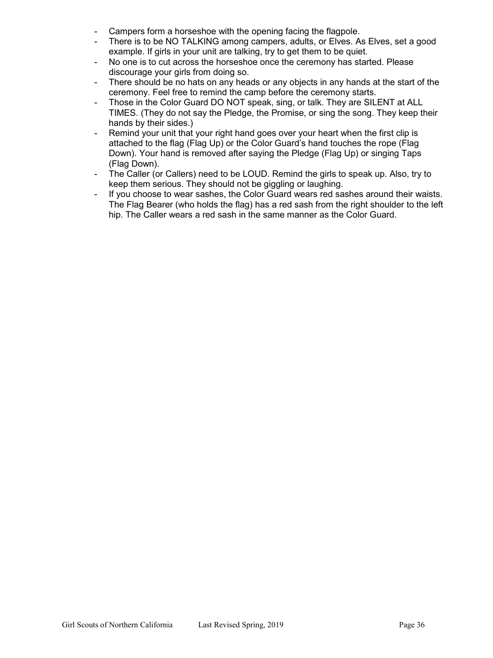- Campers form a horseshoe with the opening facing the flagpole.
- There is to be NO TALKING among campers, adults, or Elves. As Elves, set a good example. If girls in your unit are talking, try to get them to be quiet.
- No one is to cut across the horseshoe once the ceremony has started. Please discourage your girls from doing so.
- There should be no hats on any heads or any objects in any hands at the start of the ceremony. Feel free to remind the camp before the ceremony starts.
- Those in the Color Guard DO NOT speak, sing, or talk. They are SILENT at ALL TIMES. (They do not say the Pledge, the Promise, or sing the song. They keep their hands by their sides.)
- Remind your unit that your right hand goes over your heart when the first clip is attached to the flag (Flag Up) or the Color Guard's hand touches the rope (Flag Down). Your hand is removed after saying the Pledge (Flag Up) or singing Taps (Flag Down).
- The Caller (or Callers) need to be LOUD. Remind the girls to speak up. Also, try to keep them serious. They should not be giggling or laughing.
- If you choose to wear sashes, the Color Guard wears red sashes around their waists. The Flag Bearer (who holds the flag) has a red sash from the right shoulder to the left hip. The Caller wears a red sash in the same manner as the Color Guard.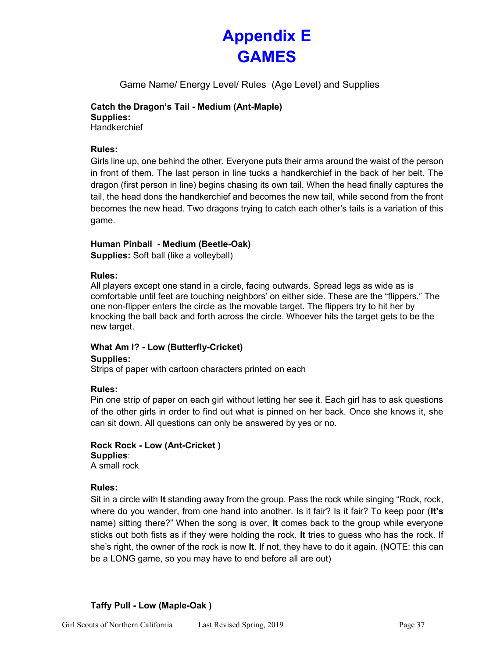# **Appendix E GAMES**

Game Name/ Energy Level/ Rules (Age Level) and Supplies

## **Catch the Dragon's Tail - Medium (Ant-Maple)**

**Supplies: Handkerchief** 

#### **Rules:**

Girls line up, one behind the other. Everyone puts their arms around the waist of the person in front of them. The last person in line tucks a handkerchief in the back of her belt. The dragon (first person in line) begins chasing its own tail. When the head finally captures the tail, the head dons the handkerchief and becomes the new tail, while second from the front becomes the new head. Two dragons trying to catch each other's tails is a variation of this game.

#### **Human Pinball - Medium (Beetle-Oak)**

**Supplies:** Soft ball (like a volleyball)

#### **Rules:**

All players except one stand in a circle, facing outwards. Spread legs as wide as is comfortable until feet are touching neighbors' on either side. These are the "flippers." The one non-flipper enters the circle as the movable target. The flippers try to hit her by knocking the ball back and forth across the circle. Whoever hits the target gets to be the new target.

#### **What Am I? - Low (Butterfly-Cricket)**

#### **Supplies:**

Strips of paper with cartoon characters printed on each

#### **Rules:**

Pin one strip of paper on each girl without letting her see it. Each girl has to ask questions of the other girls in order to find out what is pinned on her back. Once she knows it, she can sit down. All questions can only be answered by yes or no.

**Rock Rock - Low (Ant-Cricket ) Supplies**: A small rock

#### **Rules:**

Sit in a circle with **It** standing away from the group. Pass the rock while singing "Rock, rock, where do you wander, from one hand into another. Is it fair? Is it fair? To keep poor (**It's** name) sitting there?" When the song is over, **It** comes back to the group while everyone sticks out both fists as if they were holding the rock. **It** tries to guess who has the rock. If she's right, the owner of the rock is now **It**. If not, they have to do it again. (NOTE: this can be a LONG game, so you may have to end before all are out)

#### **Taffy Pull - Low (Maple-Oak )**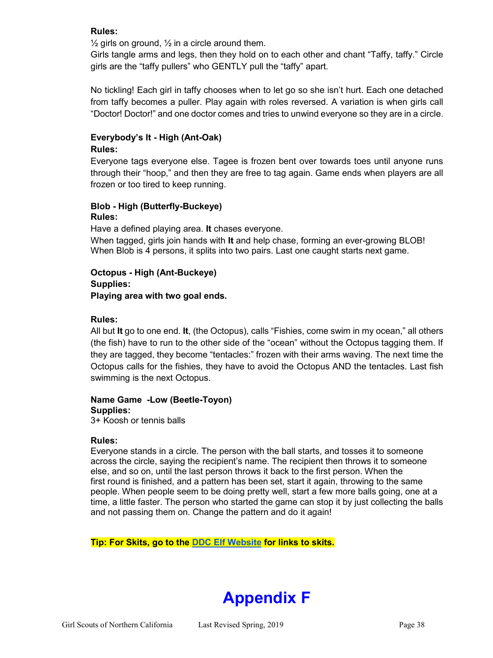#### **Rules:**

 $\frac{1}{2}$  girls on ground,  $\frac{1}{2}$  in a circle around them.

Girls tangle arms and legs, then they hold on to each other and chant "Taffy, taffy." Circle girls are the "taffy pullers" who GENTLY pull the "taffy" apart.

No tickling! Each girl in taffy chooses when to let go so she isn't hurt. Each one detached from taffy becomes a puller. Play again with roles reversed. A variation is when girls call "Doctor! Doctor!" and one doctor comes and tries to unwind everyone so they are in a circle.

#### **Everybody's It - High (Ant-Oak)**

#### **Rules:**

Everyone tags everyone else. Tagee is frozen bent over towards toes until anyone runs through their "hoop," and then they are free to tag again. Game ends when players are all frozen or too tired to keep running.

#### **Blob - High (Butterfly-Buckeye) Rules:**

Have a defined playing area. **It** chases everyone.

When tagged, girls join hands with **It** and help chase, forming an ever-growing BLOB! When Blob is 4 persons, it splits into two pairs. Last one caught starts next game.

#### **Octopus - High (Ant-Buckeye) Supplies: Playing area with two goal ends.**

#### **Rules:**

All but **It** go to one end. **It**, (the Octopus), calls "Fishies, come swim in my ocean," all others (the fish) have to run to the other side of the "ocean" without the Octopus tagging them. If they are tagged, they become "tentacles:" frozen with their arms waving. The next time the Octopus calls for the fishies, they have to avoid the Octopus AND the tentacles. Last fish swimming is the next Octopus.

#### **Name Game -Low (Beetle-Toyon) Supplies:**

3+ Koosh or tennis balls

#### **Rules:**

Everyone stands in a circle. The person with the ball starts, and tosses it to someone across the circle, saying the recipient's name. The recipient then throws it to someone else, and so on, until the last person throws it back to the first person. When the first round is finished, and a pattern has been set, start it again, throwing to the same people. When people seem to be doing pretty well, start a few more balls going, one at a time, a little faster. The person who started the game can stop it by just collecting the balls and not passing them on. Change the pattern and do it again!

**Tip: For Skits, go to the [DDC Elf Website](https://sites.google.com/view/ddcelves/skits-games) for links to skits.**